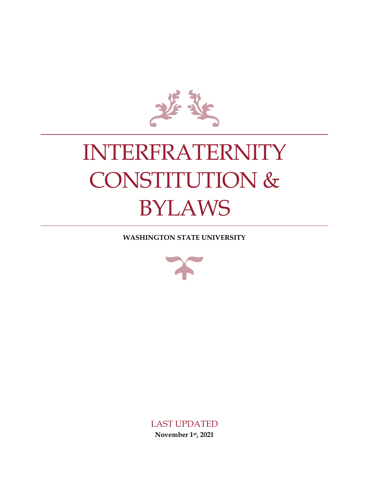

# INTERFRATERNITY CONSTITUTION & BYLAWS

**WASHINGTON STATE UNIVERSITY**



LAST UPDATED **November 1st, 2021**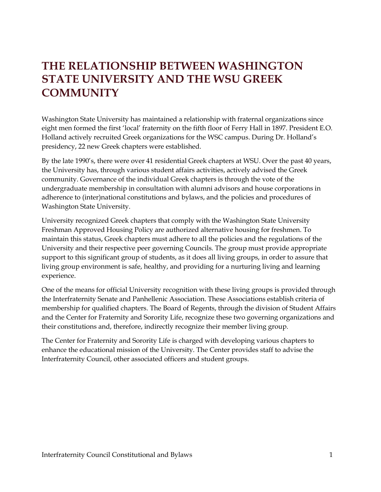# **THE RELATIONSHIP BETWEEN WASHINGTON STATE UNIVERSITY AND THE WSU GREEK COMMUNITY**

Washington State University has maintained a relationship with fraternal organizations since eight men formed the first 'local' fraternity on the fifth floor of Ferry Hall in 1897. President E.O. Holland actively recruited Greek organizations for the WSC campus. During Dr. Holland's presidency, 22 new Greek chapters were established.

By the late 1990's, there were over 41 residential Greek chapters at WSU. Over the past 40 years, the University has, through various student affairs activities, actively advised the Greek community. Governance of the individual Greek chapters is through the vote of the undergraduate membership in consultation with alumni advisors and house corporations in adherence to (inter)national constitutions and bylaws, and the policies and procedures of Washington State University.

University recognized Greek chapters that comply with the Washington State University Freshman Approved Housing Policy are authorized alternative housing for freshmen. To maintain this status, Greek chapters must adhere to all the policies and the regulations of the University and their respective peer governing Councils. The group must provide appropriate support to this significant group of students, as it does all living groups, in order to assure that living group environment is safe, healthy, and providing for a nurturing living and learning experience.

One of the means for official University recognition with these living groups is provided through the Interfraternity Senate and Panhellenic Association. These Associations establish criteria of membership for qualified chapters. The Board of Regents, through the division of Student Affairs and the Center for Fraternity and Sorority Life, recognize these two governing organizations and their constitutions and, therefore, indirectly recognize their member living group.

The Center for Fraternity and Sorority Life is charged with developing various chapters to enhance the educational mission of the University. The Center provides staff to advise the Interfraternity Council, other associated officers and student groups.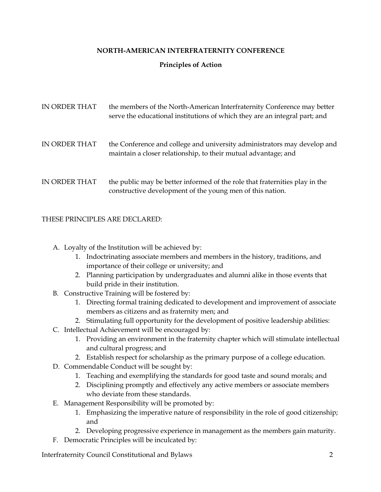#### **NORTH-AMERICAN INTERFRATERNITY CONFERENCE**

#### **Principles of Action**

| IN ORDER THAT | the members of the North-American Interfraternity Conference may better<br>serve the educational institutions of which they are an integral part; and |
|---------------|-------------------------------------------------------------------------------------------------------------------------------------------------------|
| IN ORDER THAT | the Conference and college and university administrators may develop and<br>maintain a closer relationship, to their mutual advantage; and            |
| IN ORDER THAT | the public may be better informed of the role that fraternities play in the<br>constructive development of the young men of this nation.              |

#### THESE PRINCIPLES ARE DECLARED:

- A. Loyalty of the Institution will be achieved by:
	- 1. Indoctrinating associate members and members in the history, traditions, and importance of their college or university; and
	- 2. Planning participation by undergraduates and alumni alike in those events that build pride in their institution.
- B. Constructive Training will be fostered by:
	- 1. Directing formal training dedicated to development and improvement of associate members as citizens and as fraternity men; and
	- 2. Stimulating full opportunity for the development of positive leadership abilities:
- C. Intellectual Achievement will be encouraged by:
	- 1. Providing an environment in the fraternity chapter which will stimulate intellectual and cultural progress; and
	- 2. Establish respect for scholarship as the primary purpose of a college education.
- D. Commendable Conduct will be sought by:
	- 1. Teaching and exemplifying the standards for good taste and sound morals; and
	- 2. Disciplining promptly and effectively any active members or associate members who deviate from these standards.
- E. Management Responsibility will be promoted by:
	- 1. Emphasizing the imperative nature of responsibility in the role of good citizenship; and
	- 2. Developing progressive experience in management as the members gain maturity.
- F. Democratic Principles will be inculcated by: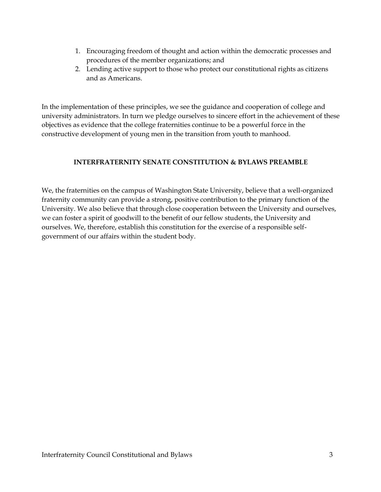- 1. Encouraging freedom of thought and action within the democratic processes and procedures of the member organizations; and
- 2. Lending active support to those who protect our constitutional rights as citizens and as Americans.

In the implementation of these principles, we see the guidance and cooperation of college and university administrators. In turn we pledge ourselves to sincere effort in the achievement of these objectives as evidence that the college fraternities continue to be a powerful force in the constructive development of young men in the transition from youth to manhood.

#### **INTERFRATERNITY SENATE CONSTITUTION & BYLAWS PREAMBLE**

We, the fraternities on the campus of Washington State University, believe that a well-organized fraternity community can provide a strong, positive contribution to the primary function of the University. We also believe that through close cooperation between the University and ourselves, we can foster a spirit of goodwill to the benefit of our fellow students, the University and ourselves. We, therefore, establish this constitution for the exercise of a responsible selfgovernment of our affairs within the student body.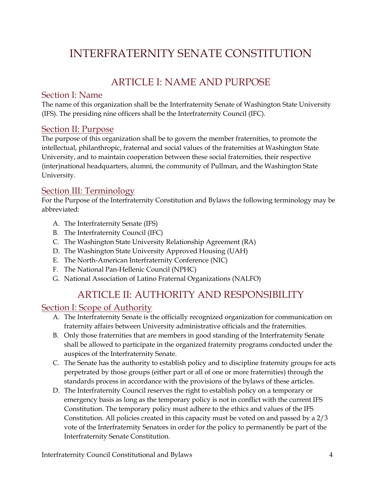# INTERFRATERNITY SENATE CONSTITUTION

### ARTICLE I: NAME AND PURPOSE

#### Section I: Name

The name of this organization shall be the Interfraternity Senate of Washington State University (IFS). The presiding nine officers shall be the Interfraternity Council (IFC).

#### Section II: Purpose

The purpose of this organization shall be to govern the member fraternities, to promote the intellectual, philanthropic, fraternal and social values of the fraternities at Washington State University, and to maintain cooperation between these social fraternities, their respective (inter)national headquarters, alumni, the community of Pullman, and the Washington State University.

#### Section III: Terminology

For the Purpose of the Interfraternity Constitution and Bylaws the following terminology may be abbreviated:

- A. The Interfraternity Senate (IFS)
- B. The Interfraternity Council (IFC)
- C. The Washington State University Relationship Agreement (RA)
- D. The Washington State University Approved Housing (UAH)
- E. The North-American Interfraternity Conference (NIC)
- F. The National Pan-Hellenic Council (NPHC)
- G. National Association of Latino Fraternal Organizations (NALFO)

### ARTICLE II: AUTHORITY AND RESPONSIBILITY

#### Section I: Scope of Authority

- A. The Interfraternity Senate is the officially recognized organization for communication on fraternity affairs between University administrative officials and the fraternities.
- B. Only those fraternities that are members in good standing of the Interfraternity Senate shall be allowed to participate in the organized fraternity programs conducted under the auspices of the Interfraternity Senate.
- C. The Senate has the authority to establish policy and to discipline fraternity groups for acts perpetrated by those groups (either part or all of one or more fraternities) through the standards process in accordance with the provisions of the bylaws of these articles.
- D. The Interfraternity Council reserves the right to establish policy on a temporary or emergency basis as long as the temporary policy is not in conflict with the current IFS Constitution. The temporary policy must adhere to the ethics and values of the IFS Constitution. All policies created in this capacity must be voted on and passed by a 2/3 vote of the Interfraternity Senators in order for the policy to permanently be part of the Interfraternity Senate Constitution.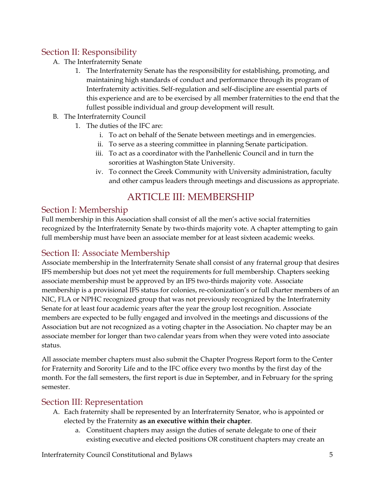### Section II: Responsibility

- A. The Interfraternity Senate
	- 1. The Interfraternity Senate has the responsibility for establishing, promoting, and maintaining high standards of conduct and performance through its program of Interfraternity activities. Self-regulation and self-discipline are essential parts of this experience and are to be exercised by all member fraternities to the end that the fullest possible individual and group development will result.
- B. The Interfraternity Council
	- 1. The duties of the IFC are:
		- i. To act on behalf of the Senate between meetings and in emergencies.
		- ii. To serve as a steering committee in planning Senate participation.
		- iii. To act as a coordinator with the Panhellenic Council and in turn the sororities at Washington State University.
		- iv. To connect the Greek Community with University administration, faculty and other campus leaders through meetings and discussions as appropriate.

# ARTICLE III: MEMBERSHIP

### Section I: Membership

Full membership in this Association shall consist of all the men's active social fraternities recognized by the Interfraternity Senate by two-thirds majority vote. A chapter attempting to gain full membership must have been an associate member for at least sixteen academic weeks.

### Section II: Associate Membership

Associate membership in the Interfraternity Senate shall consist of any fraternal group that desires IFS membership but does not yet meet the requirements for full membership. Chapters seeking associate membership must be approved by an IFS two-thirds majority vote. Associate membership is a provisional IFS status for colonies, re-colonization's or full charter members of an NIC, FLA or NPHC recognized group that was not previously recognized by the Interfraternity Senate for at least four academic years after the year the group lost recognition. Associate members are expected to be fully engaged and involved in the meetings and discussions of the Association but are not recognized as a voting chapter in the Association. No chapter may be an associate member for longer than two calendar years from when they were voted into associate status.

All associate member chapters must also submit the Chapter Progress Report form to the Center for Fraternity and Sorority Life and to the IFC office every two months by the first day of the month. For the fall semesters, the first report is due in September, and in February for the spring semester.

#### Section III: Representation

- A. Each fraternity shall be represented by an Interfraternity Senator, who is appointed or elected by the Fraternity **as an executive within their chapter**.
	- a. Constituent chapters may assign the duties of senate delegate to one of their existing executive and elected positions OR constituent chapters may create an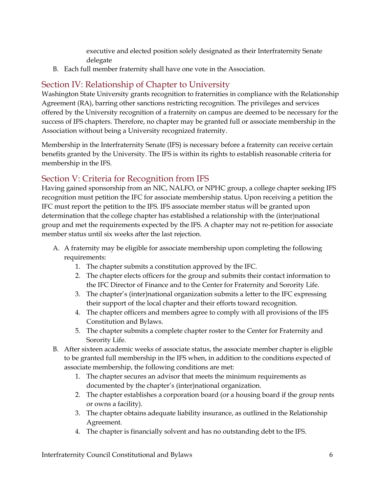executive and elected position solely designated as their Interfraternity Senate delegate

B. Each full member fraternity shall have one vote in the Association.

### Section IV: Relationship of Chapter to University

Washington State University grants recognition to fraternities in compliance with the Relationship Agreement (RA), barring other sanctions restricting recognition. The privileges and services offered by the University recognition of a fraternity on campus are deemed to be necessary for the success of IFS chapters. Therefore, no chapter may be granted full or associate membership in the Association without being a University recognized fraternity.

Membership in the Interfraternity Senate (IFS) is necessary before a fraternity can receive certain benefits granted by the University. The IFS is within its rights to establish reasonable criteria for membership in the IFS.

### Section V: Criteria for Recognition from IFS

Having gained sponsorship from an NIC, NALFO, or NPHC group, a college chapter seeking IFS recognition must petition the IFC for associate membership status. Upon receiving a petition the IFC must report the petition to the IFS. IFS associate member status will be granted upon determination that the college chapter has established a relationship with the (inter)national group and met the requirements expected by the IFS. A chapter may not re-petition for associate member status until six weeks after the last rejection.

- A. A fraternity may be eligible for associate membership upon completing the following requirements:
	- 1. The chapter submits a constitution approved by the IFC.
	- 2. The chapter elects officers for the group and submits their contact information to the IFC Director of Finance and to the Center for Fraternity and Sorority Life.
	- 3. The chapter's (inter)national organization submits a letter to the IFC expressing their support of the local chapter and their efforts toward recognition.
	- 4. The chapter officers and members agree to comply with all provisions of the IFS Constitution and Bylaws.
	- 5. The chapter submits a complete chapter roster to the Center for Fraternity and Sorority Life.
- B. After sixteen academic weeks of associate status, the associate member chapter is eligible to be granted full membership in the IFS when, in addition to the conditions expected of associate membership, the following conditions are met:
	- 1. The chapter secures an advisor that meets the minimum requirements as documented by the chapter's (inter)national organization.
	- 2. The chapter establishes a corporation board (or a housing board if the group rents or owns a facility).
	- 3. The chapter obtains adequate liability insurance, as outlined in the Relationship Agreement.
	- 4. The chapter is financially solvent and has no outstanding debt to the IFS.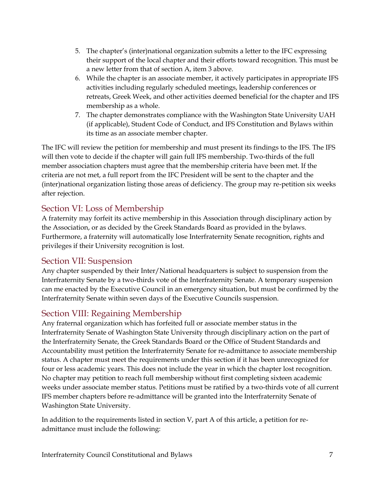- 5. The chapter's (inter)national organization submits a letter to the IFC expressing their support of the local chapter and their efforts toward recognition. This must be a new letter from that of section A, item 3 above.
- 6. While the chapter is an associate member, it actively participates in appropriate IFS activities including regularly scheduled meetings, leadership conferences or retreats, Greek Week, and other activities deemed beneficial for the chapter and IFS membership as a whole.
- 7. The chapter demonstrates compliance with the Washington State University UAH (if applicable), Student Code of Conduct, and IFS Constitution and Bylaws within its time as an associate member chapter.

The IFC will review the petition for membership and must present its findings to the IFS. The IFS will then vote to decide if the chapter will gain full IFS membership. Two-thirds of the full member association chapters must agree that the membership criteria have been met. If the criteria are not met, a full report from the IFC President will be sent to the chapter and the (inter)national organization listing those areas of deficiency. The group may re-petition six weeks after rejection.

#### Section VI: Loss of Membership

A fraternity may forfeit its active membership in this Association through disciplinary action by the Association, or as decided by the Greek Standards Board as provided in the bylaws. Furthermore, a fraternity will automatically lose Interfraternity Senate recognition, rights and privileges if their University recognition is lost.

#### Section VII: Suspension

Any chapter suspended by their Inter/National headquarters is subject to suspension from the Interfraternity Senate by a two-thirds vote of the Interfraternity Senate. A temporary suspension can me enacted by the Executive Council in an emergency situation, but must be confirmed by the Interfraternity Senate within seven days of the Executive Councils suspension.

#### Section VIII: Regaining Membership

Any fraternal organization which has forfeited full or associate member status in the Interfraternity Senate of Washington State University through disciplinary action on the part of the Interfraternity Senate, the Greek Standards Board or the Office of Student Standards and Accountability must petition the Interfraternity Senate for re-admittance to associate membership status. A chapter must meet the requirements under this section if it has been unrecognized for four or less academic years. This does not include the year in which the chapter lost recognition. No chapter may petition to reach full membership without first completing sixteen academic weeks under associate member status. Petitions must be ratified by a two-thirds vote of all current IFS member chapters before re-admittance will be granted into the Interfraternity Senate of Washington State University.

In addition to the requirements listed in section V, part A of this article, a petition for readmittance must include the following: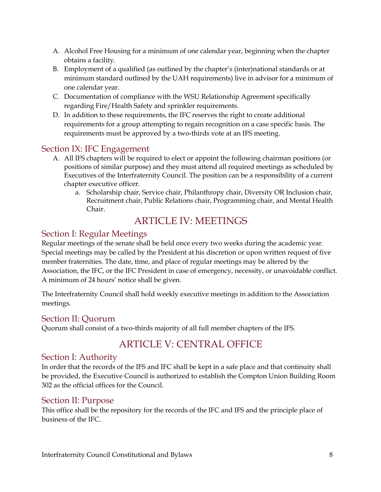- A. Alcohol Free Housing for a minimum of one calendar year, beginning when the chapter obtains a facility.
- B. Employment of a qualified (as outlined by the chapter's (inter)national standards or at minimum standard outlined by the UAH requirements) live in advisor for a minimum of one calendar year.
- C. Documentation of compliance with the WSU Relationship Agreement specifically regarding Fire/Health Safety and sprinkler requirements.
- D. In addition to these requirements, the IFC reserves the right to create additional requirements for a group attempting to regain recognition on a case specific basis. The requirements must be approved by a two-thirds vote at an IFS meeting.

#### Section IX: IFC Engagement

- A. All IFS chapters will be required to elect or appoint the following chairman positions (or positions of similar purpose) and they must attend all required meetings as scheduled by Executives of the Interfraternity Council. The position can be a responsibility of a current chapter executive officer.
	- a. Scholarship chair, Service chair, Philanthropy chair, Diversity OR Inclusion chair, Recruitment chair, Public Relations chair, Programming chair, and Mental Health Chair.

### ARTICLE IV: MEETINGS

#### Section I: Regular Meetings

Regular meetings of the senate shall be held once every two weeks during the academic year. Special meetings may be called by the President at his discretion or upon written request of five member fraternities. The date, time, and place of regular meetings may be altered by the Association, the IFC, or the IFC President in case of emergency, necessity, or unavoidable conflict. A minimum of 24 hours' notice shall be given.

The Interfraternity Council shall hold weekly executive meetings in addition to the Association meetings.

#### Section II: Quorum

Quorum shall consist of a two-thirds majority of all full member chapters of the IFS.

# ARTICLE V: CENTRAL OFFICE

#### Section I: Authority

In order that the records of the IFS and IFC shall be kept in a safe place and that continuity shall be provided, the Executive Council is authorized to establish the Compton Union Building Room 302 as the official offices for the Council.

#### Section II: Purpose

This office shall be the repository for the records of the IFC and IFS and the principle place of business of the IFC.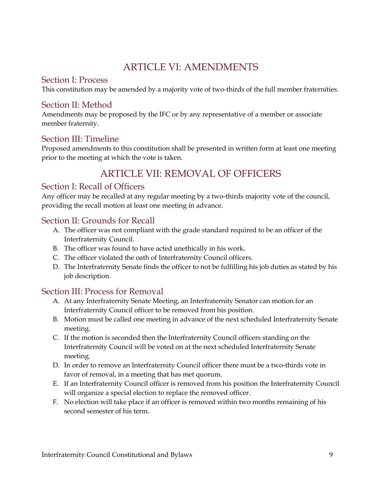### ARTICLE VI: AMENDMENTS

#### Section I: Process

This constitution may be amended by a majority vote of two-thirds of the full member fraternities.

#### Section II: Method

Amendments may be proposed by the IFC or by any representative of a member or associate member fraternity.

#### Section III: Timeline

Proposed amendments to this constitution shall be presented in written form at least one meeting prior to the meeting at which the vote is taken.

# ARTICLE VII: REMOVAL OF OFFICERS

#### Section I: Recall of Officers

Any officer may be recalled at any regular meeting by a two-thirds majority vote of the council, providing the recall motion at least one meeting in advance.

#### Section II: Grounds for Recall

- A. The officer was not compliant with the grade standard required to be an officer of the Interfraternity Council.
- B. The officer was found to have acted unethically in his work.
- C. The officer violated the oath of Interfraternity Council officers.
- D. The Interfraternity Senate finds the officer to not be fulfilling his job duties as stated by his job description.

### Section III: Process for Removal

- A. At any Interfraternity Senate Meeting, an Interfraternity Senator can motion for an Interfraternity Council officer to be removed from his position.
- B. Motion must be called one meeting in advance of the next scheduled Interfraternity Senate meeting.
- C. If the motion is seconded then the Interfraternity Council officers standing on the Interfraternity Council will be voted on at the next scheduled Interfraternity Senate meeting.
- D. In order to remove an Interfraternity Council officer there must be a two-thirds vote in favor of removal, in a meeting that has met quorum.
- E. If an Interfraternity Council officer is removed from his position the Interfraternity Council will organize a special election to replace the removed officer.
- F. No election will take place if an officer is removed within two months remaining of his second semester of his term.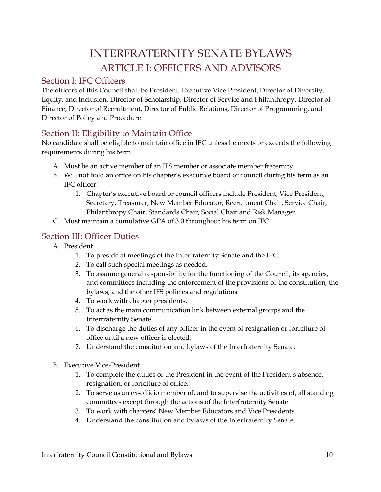# INTERFRATERNITY SENATE BYLAWS ARTICLE I: OFFICERS AND ADVISORS

#### Section I: IFC Officers

The officers of this Council shall be President, Executive Vice President, Director of Diversity, Equity, and Inclusion, Director of Scholarship, Director of Service and Philanthropy, Director of Finance, Director of Recruitment, Director of Public Relations, Director of Programming, and Director of Policy and Procedure.

#### Section II: Eligibility to Maintain Office

No candidate shall be eligible to maintain office in IFC unless he meets or exceeds the following requirements during his term.

- A. Must be an active member of an IFS member or associate member fraternity.
- B. Will not hold an office on his chapter's executive board or council during his term as an IFC officer.
	- 1. Chapter's executive board or council officers include President, Vice President, Secretary, Treasurer, New Member Educator, Recruitment Chair, Service Chair, Philanthropy Chair, Standards Chair, Social Chair and Risk Manager.
- C. Must maintain a cumulative GPA of 3.0 throughout his term on IFC.

#### Section III: Officer Duties

- A. President
	- 1. To preside at meetings of the Interfraternity Senate and the IFC.
	- 2. To call such special meetings as needed.
	- 3. To assume general responsibility for the functioning of the Council, its agencies, and committees including the enforcement of the provisions of the constitution, the bylaws, and the other IFS policies and regulations.
	- 4. To work with chapter presidents.
	- 5. To act as the main communication link between external groups and the Interfraternity Senate.
	- 6. To discharge the duties of any officer in the event of resignation or forfeiture of office until a new officer is elected.
	- 7. Understand the constitution and bylaws of the Interfraternity Senate.
- B. Executive Vice-President
	- 1. To complete the duties of the President in the event of the President's absence, resignation, or forfeiture of office.
	- 2. To serve as an ex-officio member of, and to supervise the activities of, all standing committees except through the actions of the Interfraternity Senate
	- 3. To work with chapters' New Member Educators and Vice Presidents
	- 4. Understand the constitution and bylaws of the Interfraternity Senate.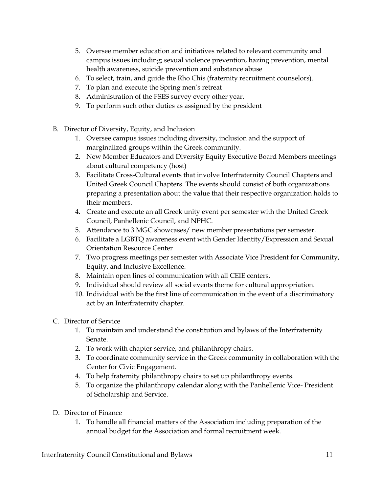- 5. Oversee member education and initiatives related to relevant community and campus issues including; sexual violence prevention, hazing prevention, mental health awareness, suicide prevention and substance abuse
- 6. To select, train, and guide the Rho Chis (fraternity recruitment counselors).
- 7. To plan and execute the Spring men's retreat
- 8. Administration of the FSES survey every other year.
- 9. To perform such other duties as assigned by the president
- B. Director of Diversity, Equity, and Inclusion
	- 1. Oversee campus issues including diversity, inclusion and the support of marginalized groups within the Greek community.
	- 2. New Member Educators and Diversity Equity Executive Board Members meetings about cultural competency (host)
	- 3. Facilitate Cross-Cultural events that involve Interfraternity Council Chapters and United Greek Council Chapters. The events should consist of both organizations preparing a presentation about the value that their respective organization holds to their members.
	- 4. Create and execute an all Greek unity event per semester with the United Greek Council, Panhellenic Council, and NPHC.
	- 5. Attendance to 3 MGC showcases/ new member presentations per semester.
	- 6. Facilitate a LGBTQ awareness event with Gender Identity/Expression and Sexual Orientation Resource Center
	- 7. Two progress meetings per semester with Associate Vice President for Community, Equity, and Inclusive Excellence.
	- 8. Maintain open lines of communication with all CEIE centers.
	- 9. Individual should review all social events theme for cultural appropriation.
	- 10. Individual with be the first line of communication in the event of a discriminatory act by an Interfraternity chapter.
- C. Director of Service
	- 1. To maintain and understand the constitution and bylaws of the Interfraternity Senate.
	- 2. To work with chapter service, and philanthropy chairs.
	- 3. To coordinate community service in the Greek community in collaboration with the Center for Civic Engagement.
	- 4. To help fraternity philanthropy chairs to set up philanthropy events.
	- 5. To organize the philanthropy calendar along with the Panhellenic Vice- President of Scholarship and Service.
- D. Director of Finance
	- 1. To handle all financial matters of the Association including preparation of the annual budget for the Association and formal recruitment week.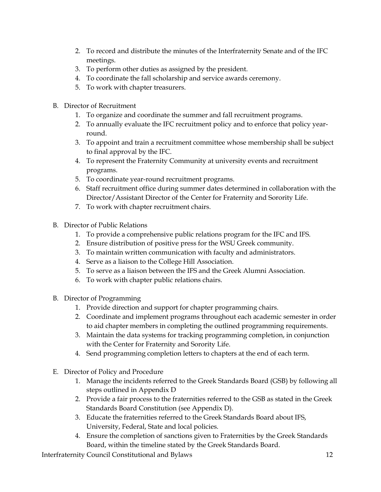- 2. To record and distribute the minutes of the Interfraternity Senate and of the IFC meetings.
- 3. To perform other duties as assigned by the president.
- 4. To coordinate the fall scholarship and service awards ceremony.
- 5. To work with chapter treasurers.
- B. Director of Recruitment
	- 1. To organize and coordinate the summer and fall recruitment programs.
	- 2. To annually evaluate the IFC recruitment policy and to enforce that policy yearround.
	- 3. To appoint and train a recruitment committee whose membership shall be subject to final approval by the IFC.
	- 4. To represent the Fraternity Community at university events and recruitment programs.
	- 5. To coordinate year-round recruitment programs.
	- 6. Staff recruitment office during summer dates determined in collaboration with the Director/Assistant Director of the Center for Fraternity and Sorority Life.
	- 7. To work with chapter recruitment chairs.
- B. Director of Public Relations
	- 1. To provide a comprehensive public relations program for the IFC and IFS.
	- 2. Ensure distribution of positive press for the WSU Greek community.
	- 3. To maintain written communication with faculty and administrators.
	- 4. Serve as a liaison to the College Hill Association.
	- 5. To serve as a liaison between the IFS and the Greek Alumni Association.
	- 6. To work with chapter public relations chairs.
- B. Director of Programming
	- 1. Provide direction and support for chapter programming chairs.
	- 2. Coordinate and implement programs throughout each academic semester in order to aid chapter members in completing the outlined programming requirements.
	- 3. Maintain the data systems for tracking programming completion, in conjunction with the Center for Fraternity and Sorority Life.
	- 4. Send programming completion letters to chapters at the end of each term.
- E. Director of Policy and Procedure
	- 1. Manage the incidents referred to the Greek Standards Board (GSB) by following all steps outlined in Appendix D
	- 2. Provide a fair process to the fraternities referred to the GSB as stated in the Greek Standards Board Constitution (see Appendix D).
	- 3. Educate the fraternities referred to the Greek Standards Board about IFS, University, Federal, State and local policies.
	- 4. Ensure the completion of sanctions given to Fraternities by the Greek Standards Board, within the timeline stated by the Greek Standards Board.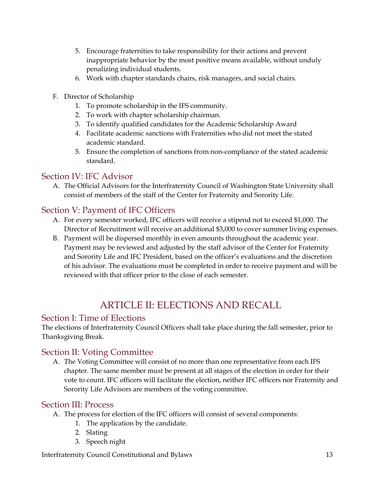- 5. Encourage fraternities to take responsibility for their actions and prevent inappropriate behavior by the most positive means available, without unduly penalizing individual students.
- 6. Work with chapter standards chairs, risk managers, and social chairs.
- F. Director of Scholarship
	- 1. To promote scholarship in the IFS community.
	- 2. To work with chapter scholarship chairman.
	- 3. To identify qualified candidates for the Academic Scholarship Award
	- 4. Facilitate academic sanctions with Fraternities who did not meet the stated academic standard.
	- 5. Ensure the completion of sanctions from non-compliance of the stated academic standard.

#### Section IV: IFC Advisor

A. The Official Advisors for the Interfraternity Council of Washington State University shall consist of members of the staff of the Center for Fraternity and Sorority Life.

#### Section V: Payment of IFC Officers

- A. For every semester worked, IFC officers will receive a stipend not to exceed \$1,000. The Director of Recruitment will receive an additional \$3,000 to cover summer living expenses.
- B. Payment will be dispersed monthly in even amounts throughout the academic year. Payment may be reviewed and adjusted by the staff advisor of the Center for Fraternity and Sorority Life and IFC President, based on the officer's evaluations and the discretion of his advisor. The evaluations must be completed in order to receive payment and will be reviewed with that officer prior to the close of each semester.

# ARTICLE II: ELECTIONS AND RECALL

#### Section I: Time of Elections

The elections of Interfraternity Council Officers shall take place during the fall semester, prior to Thanksgiving Break.

#### Section II: Voting Committee

A. The Voting Committee will consist of no more than one representative from each IFS chapter. The same member must be present at all stages of the election in order for their vote to count. IFC officers will facilitate the election, neither IFC officers nor Fraternity and Sorority Life Advisors are members of the voting committee.

#### Section III: Process

- A. The process for election of the IFC officers will consist of several components:
	- 1. The application by the candidate.
	- 2. Slating
	- 3. Speech night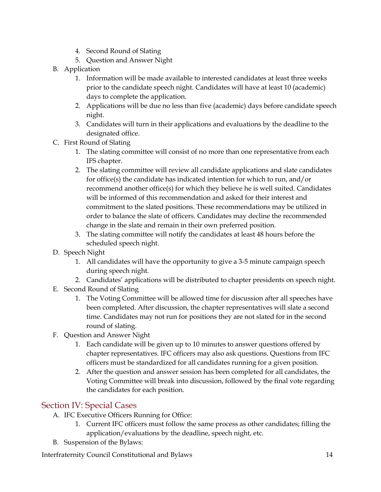- 4. Second Round of Slating
- 5. Question and Answer Night
- B. Application
	- 1. Information will be made available to interested candidates at least three weeks prior to the candidate speech night. Candidates will have at least 10 (academic) days to complete the application.
	- 2. Applications will be due no less than five (academic) days before candidate speech night.
	- 3. Candidates will turn in their applications and evaluations by the deadline to the designated office.
- C. First Round of Slating
	- 1. The slating committee will consist of no more than one representative from each IFS chapter.
	- 2. The slating committee will review all candidate applications and slate candidates for office(s) the candidate has indicated intention for which to run, and/or recommend another office(s) for which they believe he is well suited. Candidates will be informed of this recommendation and asked for their interest and commitment to the slated positions. These recommendations may be utilized in order to balance the slate of officers. Candidates may decline the recommended change in the slate and remain in their own preferred position.
	- 3. The slating committee will notify the candidates at least 48 hours before the scheduled speech night.
- D. Speech Night
	- 1. All candidates will have the opportunity to give a 3-5 minute campaign speech during speech night.
	- 2. Candidates' applications will be distributed to chapter presidents on speech night.
- E. Second Round of Slating
	- 1. The Voting Committee will be allowed time for discussion after all speeches have been completed. After discussion, the chapter representatives will slate a second time. Candidates may not run for positions they are not slated for in the second round of slating.
- F. Question and Answer Night
	- 1. Each candidate will be given up to 10 minutes to answer questions offered by chapter representatives. IFC officers may also ask questions. Questions from IFC officers must be standardized for all candidates running for a given position.
	- 2. After the question and answer session has been completed for all candidates, the Voting Committee will break into discussion, followed by the final vote regarding the candidates for each position.

#### Section IV: Special Cases

- A. IFC Executive Officers Running for Office:
	- 1. Current IFC officers must follow the same process as other candidates; filling the application/evaluations by the deadline, speech night, etc.
- B. Suspension of the Bylaws: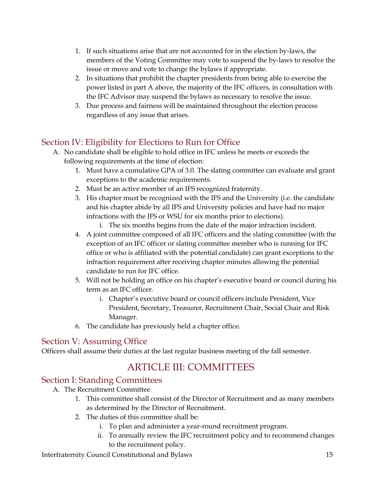- 1. If such situations arise that are not accounted for in the election by-laws, the members of the Voting Committee may vote to suspend the by-laws to resolve the issue or move and vote to change the bylaws if appropriate.
- 2. In situations that prohibit the chapter presidents from being able to exercise the power listed in part A above, the majority of the IFC officers, in consultation with the IFC Advisor may suspend the bylaws as necessary to resolve the issue.
- 3. Due process and fairness will be maintained throughout the election process regardless of any issue that arises.

#### Section IV: Eligibility for Elections to Run for Office

- A. No candidate shall be eligible to hold office in IFC unless he meets or exceeds the following requirements at the time of election:
	- 1. Must have a cumulative GPA of 3.0. The slating committee can evaluate and grant exceptions to the academic requirements.
	- 2. Must be an active member of an IFS recognized fraternity.
	- 3. His chapter must be recognized with the IFS and the University (i.e. the candidate and his chapter abide by all IFS and University policies and have had no major infractions with the IFS or WSU for six months prior to elections).
		- i. The six months begins from the date of the major infraction incident.
	- 4. A joint committee composed of all IFC officers and the slating committee (with the exception of an IFC officer or slating committee member who is running for IFC office or who is affiliated with the potential candidate) can grant exceptions to the infraction requirement after receiving chapter minutes allowing the potential candidate to run for IFC office.
	- 5. Will not be holding an office on his chapter's executive board or council during his term as an IFC officer.
		- i. Chapter's executive board or council officers include President, Vice President, Secretary, Treasurer, Recruitment Chair, Social Chair and Risk Manager.
	- 6. The candidate has previously held a chapter office.

#### Section V: Assuming Office

Officers shall assume their duties at the last regular business meeting of the fall semester.

# ARTICLE III: COMMITTEES

#### Section I: Standing Committees

- A. The Recruitment Committee
	- 1. This committee shall consist of the Director of Recruitment and as many members as determined by the Director of Recruitment.
	- 2. The duties of this committee shall be:
		- i. To plan and administer a year-round recruitment program.
		- ii. To annually review the IFC recruitment policy and to recommend changes to the recruitment policy.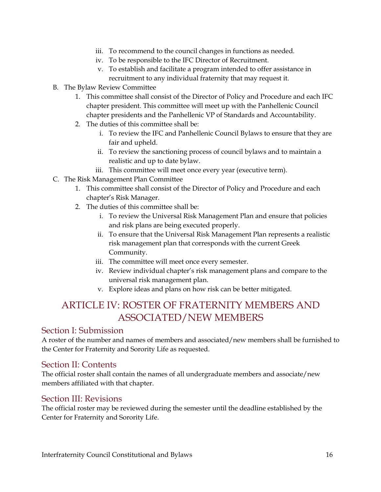- iii. To recommend to the council changes in functions as needed.
- iv. To be responsible to the IFC Director of Recruitment.
- v. To establish and facilitate a program intended to offer assistance in recruitment to any individual fraternity that may request it.
- B. The Bylaw Review Committee
	- 1. This committee shall consist of the Director of Policy and Procedure and each IFC chapter president. This committee will meet up with the Panhellenic Council chapter presidents and the Panhellenic VP of Standards and Accountability.
	- 2. The duties of this committee shall be:
		- i. To review the IFC and Panhellenic Council Bylaws to ensure that they are fair and upheld.
		- ii. To review the sanctioning process of council bylaws and to maintain a realistic and up to date bylaw.
		- iii. This committee will meet once every year (executive term).
- C. The Risk Management Plan Committee
	- 1. This committee shall consist of the Director of Policy and Procedure and each chapter's Risk Manager.
	- 2. The duties of this committee shall be:
		- i. To review the Universal Risk Management Plan and ensure that policies and risk plans are being executed properly.
		- ii. To ensure that the Universal Risk Management Plan represents a realistic risk management plan that corresponds with the current Greek Community.
		- iii. The committee will meet once every semester.
		- iv. Review individual chapter's risk management plans and compare to the universal risk management plan.
		- v. Explore ideas and plans on how risk can be better mitigated.

### ARTICLE IV: ROSTER OF FRATERNITY MEMBERS AND ASSOCIATED/NEW MEMBERS

#### Section I: Submission

A roster of the number and names of members and associated/new members shall be furnished to the Center for Fraternity and Sorority Life as requested.

#### Section II: Contents

The official roster shall contain the names of all undergraduate members and associate/new members affiliated with that chapter.

#### Section III: Revisions

The official roster may be reviewed during the semester until the deadline established by the Center for Fraternity and Sorority Life.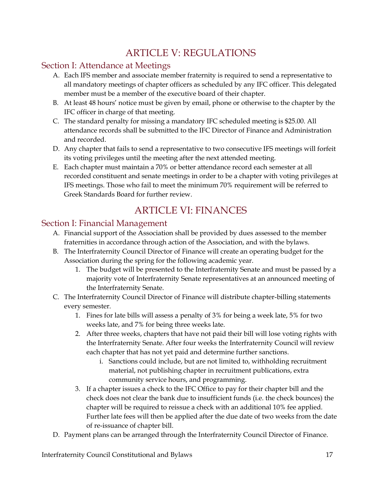# ARTICLE V: REGULATIONS

#### Section I: Attendance at Meetings

- A. Each IFS member and associate member fraternity is required to send a representative to all mandatory meetings of chapter officers as scheduled by any IFC officer. This delegated member must be a member of the executive board of their chapter.
- B. At least 48 hours' notice must be given by email, phone or otherwise to the chapter by the IFC officer in charge of that meeting.
- C. The standard penalty for missing a mandatory IFC scheduled meeting is \$25.00. All attendance records shall be submitted to the IFC Director of Finance and Administration and recorded.
- D. Any chapter that fails to send a representative to two consecutive IFS meetings will forfeit its voting privileges until the meeting after the next attended meeting.
- E. Each chapter must maintain a 70% or better attendance record each semester at all recorded constituent and senate meetings in order to be a chapter with voting privileges at IFS meetings. Those who fail to meet the minimum 70% requirement will be referred to Greek Standards Board for further review.

# ARTICLE VI: FINANCES

#### Section I: Financial Management

- A. Financial support of the Association shall be provided by dues assessed to the member fraternities in accordance through action of the Association, and with the bylaws.
- B. The Interfraternity Council Director of Finance will create an operating budget for the Association during the spring for the following academic year.
	- 1. The budget will be presented to the Interfraternity Senate and must be passed by a majority vote of Interfraternity Senate representatives at an announced meeting of the Interfraternity Senate.
- C. The Interfraternity Council Director of Finance will distribute chapter-billing statements every semester.
	- 1. Fines for late bills will assess a penalty of 3% for being a week late, 5% for two weeks late, and 7% for being three weeks late.
	- 2. After three weeks, chapters that have not paid their bill will lose voting rights with the Interfraternity Senate. After four weeks the Interfraternity Council will review each chapter that has not yet paid and determine further sanctions.
		- i. Sanctions could include, but are not limited to, withholding recruitment material, not publishing chapter in recruitment publications, extra community service hours, and programming.
	- 3. If a chapter issues a check to the IFC Office to pay for their chapter bill and the check does not clear the bank due to insufficient funds (i.e. the check bounces) the chapter will be required to reissue a check with an additional 10% fee applied. Further late fees will then be applied after the due date of two weeks from the date of re-issuance of chapter bill.
- D. Payment plans can be arranged through the Interfraternity Council Director of Finance.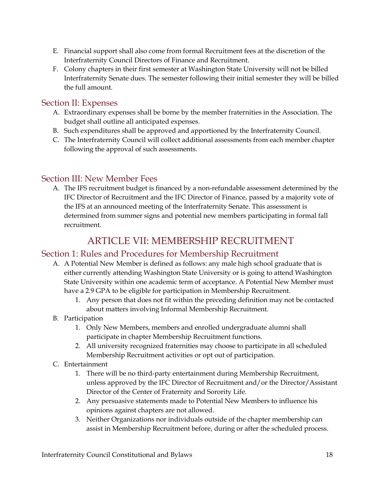- E. Financial support shall also come from formal Recruitment fees at the discretion of the Interfraternity Council Directors of Finance and Recruitment.
- F. Colony chapters in their first semester at Washington State University will not be billed Interfraternity Senate dues. The semester following their initial semester they will be billed the full amount.

#### Section II: Expenses

- A. Extraordinary expenses shall be borne by the member fraternities in the Association. The budget shall outline all anticipated expenses.
- B. Such expenditures shall be approved and apportioned by the Interfraternity Council.
- C. The Interfraternity Council will collect additional assessments from each member chapter following the approval of such assessments.

#### Section III: New Member Fees

A. The IFS recruitment budget is financed by a non-refundable assessment determined by the IFC Director of Recruitment and the IFC Director of Finance, passed by a majority vote of the IFS at an announced meeting of the Interfraternity Senate. This assessment is determined from summer signs and potential new members participating in formal fall recruitment.

### ARTICLE VII: MEMBERSHIP RECRUITMENT

#### Section 1: Rules and Procedures for Membership Recruitment

- A. A Potential New Member is defined as follows: any male high school graduate that is either currently attending Washington State University or is going to attend Washington State University within one academic term of acceptance. A Potential New Member must have a 2.9 GPA to be eligible for participation in Membership Recruitment.
	- 1. Any person that does not fit within the preceding definition may not be contacted about matters involving Informal Membership Recruitment.
- B. Participation
	- 1. Only New Members, members and enrolled undergraduate alumni shall participate in chapter Membership Recruitment functions.
	- 2. All university recognized fraternities may choose to participate in all scheduled Membership Recruitment activities or opt out of participation.
- C. Entertainment
	- 1. There will be no third-party entertainment during Membership Recruitment, unless approved by the IFC Director of Recruitment and/or the Director/Assistant Director of the Center of Fraternity and Sorority Life.
	- 2. Any persuasive statements made to Potential New Members to influence his opinions against chapters are not allowed.
	- 3. Neither Organizations nor individuals outside of the chapter membership can assist in Membership Recruitment before, during or after the scheduled process.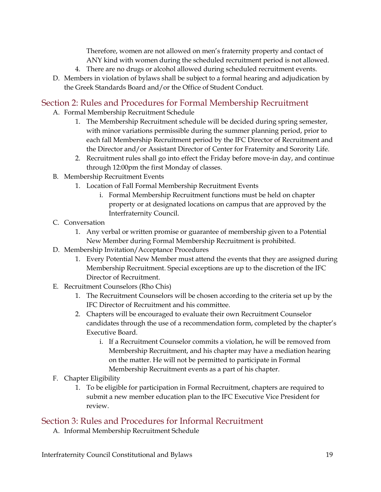Therefore, women are not allowed on men's fraternity property and contact of ANY kind with women during the scheduled recruitment period is not allowed.

- 4. There are no drugs or alcohol allowed during scheduled recruitment events.
- D. Members in violation of bylaws shall be subject to a formal hearing and adjudication by the Greek Standards Board and/or the Office of Student Conduct.

#### Section 2: Rules and Procedures for Formal Membership Recruitment

- A. Formal Membership Recruitment Schedule
	- 1. The Membership Recruitment schedule will be decided during spring semester, with minor variations permissible during the summer planning period, prior to each fall Membership Recruitment period by the IFC Director of Recruitment and the Director and/or Assistant Director of Center for Fraternity and Sorority Life.
	- 2. Recruitment rules shall go into effect the Friday before move-in day, and continue through 12:00pm the first Monday of classes.
- B. Membership Recruitment Events
	- 1. Location of Fall Formal Membership Recruitment Events
		- i. Formal Membership Recruitment functions must be held on chapter property or at designated locations on campus that are approved by the Interfraternity Council.
- C. Conversation
	- 1. Any verbal or written promise or guarantee of membership given to a Potential New Member during Formal Membership Recruitment is prohibited.
- D. Membership Invitation/Acceptance Procedures
	- 1. Every Potential New Member must attend the events that they are assigned during Membership Recruitment. Special exceptions are up to the discretion of the IFC Director of Recruitment.
- E. Recruitment Counselors (Rho Chis)
	- 1. The Recruitment Counselors will be chosen according to the criteria set up by the IFC Director of Recruitment and his committee.
	- 2. Chapters will be encouraged to evaluate their own Recruitment Counselor candidates through the use of a recommendation form, completed by the chapter's Executive Board.
		- i. If a Recruitment Counselor commits a violation, he will be removed from Membership Recruitment, and his chapter may have a mediation hearing on the matter. He will not be permitted to participate in Formal Membership Recruitment events as a part of his chapter.
- F. Chapter Eligibility
	- 1. To be eligible for participation in Formal Recruitment, chapters are required to submit a new member education plan to the IFC Executive Vice President for review.

#### Section 3: Rules and Procedures for Informal Recruitment

A. Informal Membership Recruitment Schedule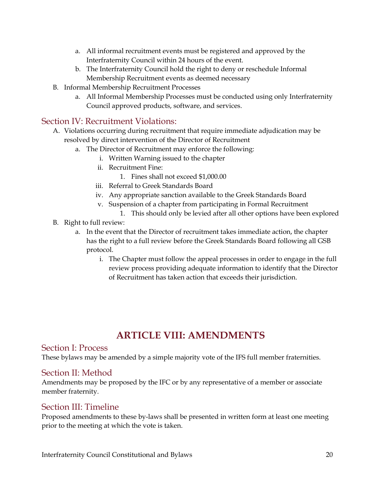- a. All informal recruitment events must be registered and approved by the Interfraternity Council within 24 hours of the event.
- b. The Interfraternity Council hold the right to deny or reschedule Informal Membership Recruitment events as deemed necessary
- B. Informal Membership Recruitment Processes
	- a. All Informal Membership Processes must be conducted using only Interfraternity Council approved products, software, and services.

#### Section IV: Recruitment Violations:

- A. Violations occurring during recruitment that require immediate adjudication may be resolved by direct intervention of the Director of Recruitment
	- a. The Director of Recruitment may enforce the following:
		- i. Written Warning issued to the chapter
		- ii. Recruitment Fine:
			- 1. Fines shall not exceed \$1,000.00
		- iii. Referral to Greek Standards Board
		- iv. Any appropriate sanction available to the Greek Standards Board
		- v. Suspension of a chapter from participating in Formal Recruitment
		- 1. This should only be levied after all other options have been explored
- B. Right to full review:
	- a. In the event that the Director of recruitment takes immediate action, the chapter has the right to a full review before the Greek Standards Board following all GSB protocol.
		- i. The Chapter must follow the appeal processes in order to engage in the full review process providing adequate information to identify that the Director of Recruitment has taken action that exceeds their jurisdiction.

### **ARTICLE VIII: AMENDMENTS**

#### Section I: Process

These bylaws may be amended by a simple majority vote of the IFS full member fraternities.

#### Section II: Method

Amendments may be proposed by the IFC or by any representative of a member or associate member fraternity.

#### Section III: Timeline

Proposed amendments to these by-laws shall be presented in written form at least one meeting prior to the meeting at which the vote is taken.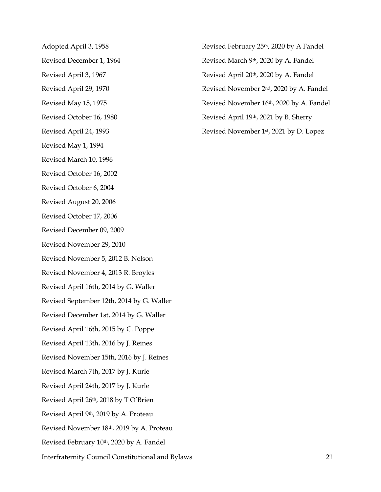Adopted April 3, 1958

Revised December 1, 1964

Revised April 3, 1967

Revised April 29, 1970

Revised May 15, 1975

Revised October 16, 1980

Revised April 24, 1993

Revised May 1, 1994

Revised March 10, 1996

Revised October 16, 2002

Revised October 6, 2004

Revised August 20, 2006

Revised October 17, 2006

Revised December 09, 2009

Revised November 29, 2010

Revised November 5, 2012 B. Nelson

Revised November 4, 2013 R. Broyles

Revised April 16th, 2014 by G. Waller

Revised September 12th, 2014 by G. Waller

Revised December 1st, 2014 by G. Waller

Revised April 16th, 2015 by C. Poppe

Revised April 13th, 2016 by J. Reines

Revised November 15th, 2016 by J. Reines

Revised March 7th, 2017 by J. Kurle

Revised April 24th, 2017 by J. Kurle

Revised April 26th, 2018 by T O'Brien

Revised April 9th, 2019 by A. Proteau

Revised November 18th, 2019 by A. Proteau

Revised February 10th, 2020 by A. Fandel

Interfraternity Council Constitutional and Bylaws 21

Revised February 25th, 2020 by A Fandel Revised March 9<sup>th</sup>, 2020 by A. Fandel Revised April 20th, 2020 by A. Fandel Revised November 2nd, 2020 by A. Fandel Revised November 16th, 2020 by A. Fandel Revised April 19th, 2021 by B. Sherry Revised November 1st, 2021 by D. Lopez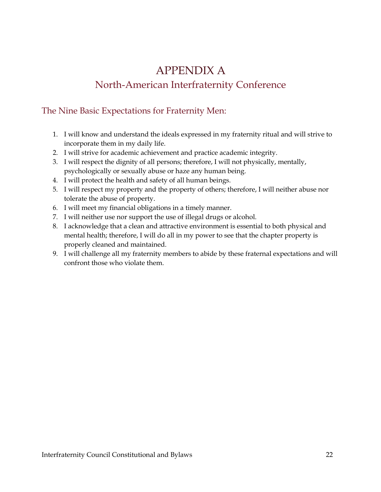# APPENDIX A North-American Interfraternity Conference

### The Nine Basic Expectations for Fraternity Men:

- 1. I will know and understand the ideals expressed in my fraternity ritual and will strive to incorporate them in my daily life.
- 2. I will strive for academic achievement and practice academic integrity.
- 3. I will respect the dignity of all persons; therefore, I will not physically, mentally, psychologically or sexually abuse or haze any human being.
- 4. I will protect the health and safety of all human beings.
- 5. I will respect my property and the property of others; therefore, I will neither abuse nor tolerate the abuse of property.
- 6. I will meet my financial obligations in a timely manner.
- 7. I will neither use nor support the use of illegal drugs or alcohol.
- 8. I acknowledge that a clean and attractive environment is essential to both physical and mental health; therefore, I will do all in my power to see that the chapter property is properly cleaned and maintained.
- 9. I will challenge all my fraternity members to abide by these fraternal expectations and will confront those who violate them.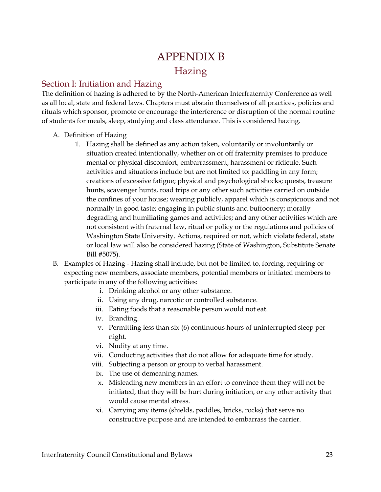# APPENDIX B Hazing

#### Section I: Initiation and Hazing

The definition of hazing is adhered to by the North-American Interfraternity Conference as well as all local, state and federal laws. Chapters must abstain themselves of all practices, policies and rituals which sponsor, promote or encourage the interference or disruption of the normal routine of students for meals, sleep, studying and class attendance. This is considered hazing.

- A. Definition of Hazing
	- 1. Hazing shall be defined as any action taken, voluntarily or involuntarily or situation created intentionally, whether on or off fraternity premises to produce mental or physical discomfort, embarrassment, harassment or ridicule. Such activities and situations include but are not limited to: paddling in any form; creations of excessive fatigue; physical and psychological shocks; quests, treasure hunts, scavenger hunts, road trips or any other such activities carried on outside the confines of your house; wearing publicly, apparel which is conspicuous and not normally in good taste; engaging in public stunts and buffoonery; morally degrading and humiliating games and activities; and any other activities which are not consistent with fraternal law, ritual or policy or the regulations and policies of Washington State University. Actions, required or not, which violate federal, state or local law will also be considered hazing (State of Washington, Substitute Senate Bill #5075).
- B. Examples of Hazing Hazing shall include, but not be limited to, forcing, requiring or expecting new members, associate members, potential members or initiated members to participate in any of the following activities:
	- i. Drinking alcohol or any other substance.
	- ii. Using any drug, narcotic or controlled substance.
	- iii. Eating foods that a reasonable person would not eat.
	- iv. Branding.
	- v. Permitting less than six (6) continuous hours of uninterrupted sleep per night.
	- vi. Nudity at any time.
	- vii. Conducting activities that do not allow for adequate time for study.
	- viii. Subjecting a person or group to verbal harassment.
	- ix. The use of demeaning names.
	- x. Misleading new members in an effort to convince them they will not be initiated, that they will be hurt during initiation, or any other activity that would cause mental stress.
	- xi. Carrying any items (shields, paddles, bricks, rocks) that serve no constructive purpose and are intended to embarrass the carrier.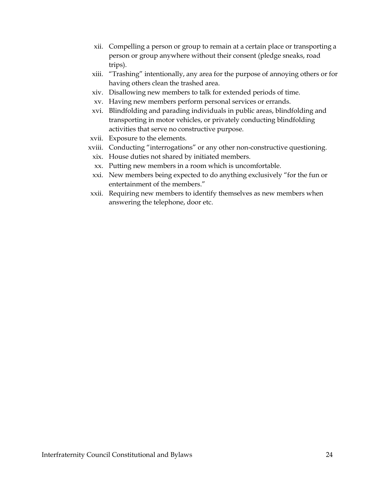- xii. Compelling a person or group to remain at a certain place or transporting a person or group anywhere without their consent (pledge sneaks, road trips).
- xiii. "Trashing" intentionally, any area for the purpose of annoying others or for having others clean the trashed area.
- xiv. Disallowing new members to talk for extended periods of time.
- xv. Having new members perform personal services or errands.
- xvi. Blindfolding and parading individuals in public areas, blindfolding and transporting in motor vehicles, or privately conducting blindfolding activities that serve no constructive purpose.
- xvii. Exposure to the elements.
- xviii. Conducting "interrogations" or any other non-constructive questioning.
	- xix. House duties not shared by initiated members.
	- xx. Putting new members in a room which is uncomfortable.
- xxi. New members being expected to do anything exclusively "for the fun or entertainment of the members."
- xxii. Requiring new members to identify themselves as new members when answering the telephone, door etc.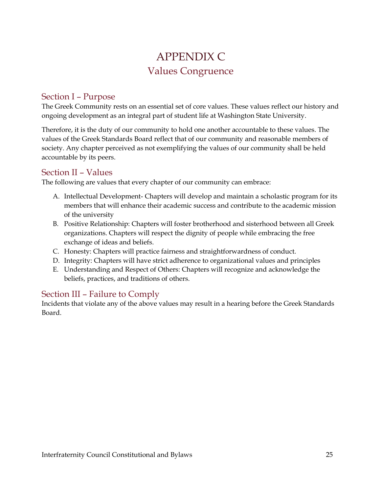# APPENDIX C Values Congruence

#### Section I – Purpose

The Greek Community rests on an essential set of core values. These values reflect our history and ongoing development as an integral part of student life at Washington State University.

Therefore, it is the duty of our community to hold one another accountable to these values. The values of the Greek Standards Board reflect that of our community and reasonable members of society. Any chapter perceived as not exemplifying the values of our community shall be held accountable by its peers.

#### Section II – Values

The following are values that every chapter of our community can embrace:

- A. Intellectual Development- Chapters will develop and maintain a scholastic program for its members that will enhance their academic success and contribute to the academic mission of the university
- B. Positive Relationship: Chapters will foster brotherhood and sisterhood between all Greek organizations. Chapters will respect the dignity of people while embracing the free exchange of ideas and beliefs.
- C. Honesty: Chapters will practice fairness and straightforwardness of conduct.
- D. Integrity: Chapters will have strict adherence to organizational values and principles
- E. Understanding and Respect of Others: Chapters will recognize and acknowledge the beliefs, practices, and traditions of others.

#### Section III – Failure to Comply

Incidents that violate any of the above values may result in a hearing before the Greek Standards Board.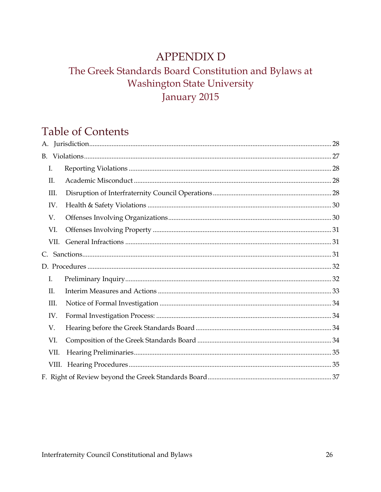# **APPENDIX D**

# The Greek Standards Board Constitution and Bylaws at **Washington State University** January 2015

# **Table of Contents**

| I.          |  |  |
|-------------|--|--|
| II.         |  |  |
| III.        |  |  |
| IV.         |  |  |
| V.          |  |  |
| VI.         |  |  |
| VII.        |  |  |
| $C_{\cdot}$ |  |  |
|             |  |  |
| I.          |  |  |
| Π.          |  |  |
| III.        |  |  |
| IV.         |  |  |
| V.          |  |  |
| VI.         |  |  |
| VII.        |  |  |
|             |  |  |
|             |  |  |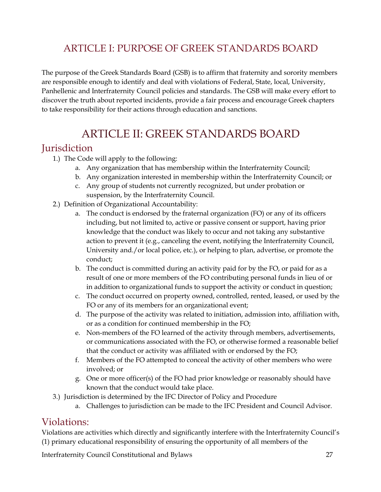# ARTICLE I: PURPOSE OF GREEK STANDARDS BOARD

The purpose of the Greek Standards Board (GSB) is to affirm that fraternity and sorority members are responsible enough to identify and deal with violations of Federal, State, local, University, Panhellenic and Interfraternity Council policies and standards. The GSB will make every effort to discover the truth about reported incidents, provide a fair process and encourage Greek chapters to take responsibility for their actions through education and sanctions.

# ARTICLE II: GREEK STANDARDS BOARD

### <span id="page-27-0"></span>**Jurisdiction**

- 1.) The Code will apply to the following:
	- a. Any organization that has membership within the Interfraternity Council;
	- b. Any organization interested in membership within the Interfraternity Council; or
	- c. Any group of students not currently recognized, but under probation or suspension, by the Interfraternity Council.
- 2.) Definition of Organizational Accountability:
	- a. The conduct is endorsed by the fraternal organization (FO) or any of its officers including, but not limited to, active or passive consent or support, having prior knowledge that the conduct was likely to occur and not taking any substantive action to prevent it (e.g., canceling the event, notifying the Interfraternity Council, University and./or local police, etc.), or helping to plan, advertise, or promote the conduct;
	- b. The conduct is committed during an activity paid for by the FO, or paid for as a result of one or more members of the FO contributing personal funds in lieu of or in addition to organizational funds to support the activity or conduct in question;
	- c. The conduct occurred on property owned, controlled, rented, leased, or used by the FO or any of its members for an organizational event;
	- d. The purpose of the activity was related to initiation, admission into, affiliation with, or as a condition for continued membership in the FO;
	- e. Non-members of the FO learned of the activity through members, advertisements, or communications associated with the FO, or otherwise formed a reasonable belief that the conduct or activity was affiliated with or endorsed by the FO;
	- f. Members of the FO attempted to conceal the activity of other members who were involved; or
	- g. One or more officer(s) of the FO had prior knowledge or reasonably should have known that the conduct would take place.
- 3.) Jurisdiction is determined by the IFC Director of Policy and Procedure
	- a. Challenges to jurisdiction can be made to the IFC President and Council Advisor.

#### <span id="page-27-1"></span>Violations:

Violations are activities which directly and significantly interfere with the Interfraternity Council's (1) primary educational responsibility of ensuring the opportunity of all members of the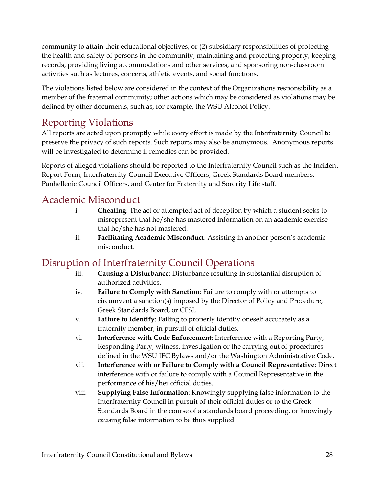community to attain their educational objectives, or (2) subsidiary responsibilities of protecting the health and safety of persons in the community, maintaining and protecting property, keeping records, providing living accommodations and other services, and sponsoring non-classroom activities such as lectures, concerts, athletic events, and social functions.

The violations listed below are considered in the context of the Organizations responsibility as a member of the fraternal community; other actions which may be considered as violations may be defined by other documents, such as, for example, the WSU Alcohol Policy.

# <span id="page-28-0"></span>Reporting Violations

All reports are acted upon promptly while every effort is made by the Interfraternity Council to preserve the privacy of such reports. Such reports may also be anonymous. Anonymous reports will be investigated to determine if remedies can be provided.

Reports of alleged violations should be reported to the Interfraternity Council such as the Incident Report Form, Interfraternity Council Executive Officers, Greek Standards Board members, Panhellenic Council Officers, and Center for Fraternity and Sorority Life staff.

### <span id="page-28-1"></span>Academic Misconduct

- i. **Cheating**: The act or attempted act of deception by which a student seeks to misrepresent that he/she has mastered information on an academic exercise that he/she has not mastered.
- ii. **Facilitating Academic Misconduct**: Assisting in another person's academic misconduct.

### <span id="page-28-2"></span>Disruption of Interfraternity Council Operations

- iii. **Causing a Disturbance**: Disturbance resulting in substantial disruption of authorized activities.
- iv. **Failure to Comply with Sanction**: Failure to comply with or attempts to circumvent a sanction(s) imposed by the Director of Policy and Procedure, Greek Standards Board, or CFSL.
- v. **Failure to Identify**: Failing to properly identify oneself accurately as a fraternity member, in pursuit of official duties.
- vi. **Interference with Code Enforcement**: Interference with a Reporting Party, Responding Party, witness, investigation or the carrying out of procedures defined in the WSU IFC Bylaws and/or the Washington Administrative Code.
- vii. **Interference with or Failure to Comply with a Council Representative**: Direct interference with or failure to comply with a Council Representative in the performance of his/her official duties.
- viii. **Supplying False Information**: Knowingly supplying false information to the Interfraternity Council in pursuit of their official duties or to the Greek Standards Board in the course of a standards board proceeding, or knowingly causing false information to be thus supplied.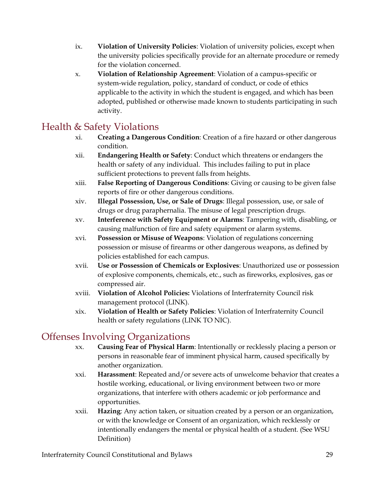- ix. **Violation of University Policies**: Violation of university policies, except when the university policies specifically provide for an alternate procedure or remedy for the violation concerned.
- x. **Violation of Relationship Agreement**: Violation of a campus-specific or system-wide regulation, policy, standard of conduct, or code of ethics applicable to the activity in which the student is engaged, and which has been adopted, published or otherwise made known to students participating in such activity.

### <span id="page-29-0"></span>Health & Safety Violations

- xi. **Creating a Dangerous Condition**: Creation of a fire hazard or other dangerous condition.
- xii. **Endangering Health or Safety**: Conduct which threatens or endangers the health or safety of any individual. This includes failing to put in place sufficient protections to prevent falls from heights.
- xiii. **False Reporting of Dangerous Conditions**: Giving or causing to be given false reports of fire or other dangerous conditions.
- xiv. **Illegal Possession, Use, or Sale of Drugs**: Illegal possession, use, or sale of drugs or drug paraphernalia. The misuse of legal prescription drugs.
- xv. **Interference with Safety Equipment or Alarms**: Tampering with, disabling, or causing malfunction of fire and safety equipment or alarm systems.
- xvi. **Possession or Misuse of Weapons**: Violation of regulations concerning possession or misuse of firearms or other dangerous weapons, as defined by policies established for each campus.
- xvii. **Use or Possession of Chemicals or Explosives**: Unauthorized use or possession of explosive components, chemicals, etc., such as fireworks, explosives, gas or compressed air.
- xviii. **Violation of Alcohol Policies:** Violations of Interfraternity Council risk management protocol (LINK).
- xix. **Violation of Health or Safety Policies**: Violation of Interfraternity Council health or safety regulations (LINK TO NIC).

# <span id="page-29-1"></span>Offenses Involving Organizations

- xx. **Causing Fear of Physical Harm**: Intentionally or recklessly placing a person or persons in reasonable fear of imminent physical harm, caused specifically by another organization.
- xxi. **Harassment**: Repeated and/or severe acts of unwelcome behavior that creates a hostile working, educational, or living environment between two or more organizations, that interfere with others academic or job performance and opportunities.
- xxii. **Hazing**: Any action taken, or situation created by a person or an organization, or with the knowledge or Consent of an organization, which recklessly or intentionally endangers the mental or physical health of a student. (See WSU Definition)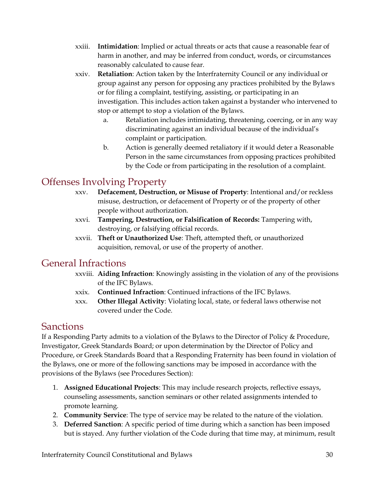- xxiii. **Intimidation**: Implied or actual threats or acts that cause a reasonable fear of harm in another, and may be inferred from conduct, words, or circumstances reasonably calculated to cause fear.
- xxiv. **Retaliation**: Action taken by the Interfraternity Council or any individual or group against any person for opposing any practices prohibited by the Bylaws or for filing a complaint, testifying, assisting, or participating in an investigation. This includes action taken against a bystander who intervened to stop or attempt to stop a violation of the Bylaws.
	- a. Retaliation includes intimidating, threatening, coercing, or in any way discriminating against an individual because of the individual's complaint or participation.
	- b. Action is generally deemed retaliatory if it would deter a Reasonable Person in the same circumstances from opposing practices prohibited by the Code or from participating in the resolution of a complaint.

# <span id="page-30-0"></span>Offenses Involving Property

- xxv. **Defacement, Destruction, or Misuse of Property**: Intentional and/or reckless misuse, destruction, or defacement of Property or of the property of other people without authorization.
- xxvi. **Tampering, Destruction, or Falsification of Records:** Tampering with, destroying, or falsifying official records.
- xxvii. **Theft or Unauthorized Use**: Theft, attempted theft, or unauthorized acquisition, removal, or use of the property of another.

### <span id="page-30-1"></span>General Infractions

- xxviii. **Aiding Infraction**: Knowingly assisting in the violation of any of the provisions of the IFC Bylaws.
- xxix. **Continued Infraction**: Continued infractions of the IFC Bylaws.
- xxx. **Other Illegal Activity**: Violating local, state, or federal laws otherwise not covered under the Code.

# <span id="page-30-2"></span>Sanctions

If a Responding Party admits to a violation of the Bylaws to the Director of Policy & Procedure, Investigator, Greek Standards Board; or upon determination by the Director of Policy and Procedure, or Greek Standards Board that a Responding Fraternity has been found in violation of the Bylaws, one or more of the following sanctions may be imposed in accordance with the provisions of the Bylaws (see Procedures Section):

- 1. **Assigned Educational Projects**: This may include research projects, reflective essays, counseling assessments, sanction seminars or other related assignments intended to promote learning.
- 2. **Community Service**: The type of service may be related to the nature of the violation.
- 3. **Deferred Sanction**: A specific period of time during which a sanction has been imposed but is stayed. Any further violation of the Code during that time may, at minimum, result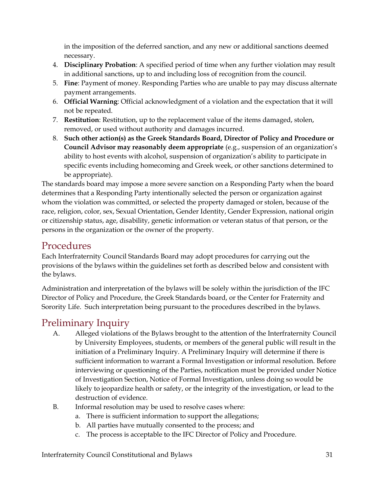in the imposition of the deferred sanction, and any new or additional sanctions deemed necessary.

- 4. **Disciplinary Probation**: A specified period of time when any further violation may result in additional sanctions, up to and including loss of recognition from the council.
- 5. **Fine**: Payment of money. Responding Parties who are unable to pay may discuss alternate payment arrangements.
- 6. **Official Warning**: Official acknowledgment of a violation and the expectation that it will not be repeated.
- 7. **Restitution**: Restitution, up to the replacement value of the items damaged, stolen, removed, or used without authority and damages incurred.
- 8. **Such other action(s) as the Greek Standards Board, Director of Policy and Procedure or Council Advisor may reasonably deem appropriate** (e.g., suspension of an organization's ability to host events with alcohol, suspension of organization's ability to participate in specific events including homecoming and Greek week, or other sanctions determined to be appropriate).

The standards board may impose a more severe sanction on a Responding Party when the board determines that a Responding Party intentionally selected the person or organization against whom the violation was committed, or selected the property damaged or stolen, because of the race, religion, color, sex, Sexual Orientation, Gender Identity, Gender Expression, national origin or citizenship status, age, disability, genetic information or veteran status of that person, or the persons in the organization or the owner of the property.

### <span id="page-31-0"></span>Procedures

Each Interfraternity Council Standards Board may adopt procedures for carrying out the provisions of the bylaws within the guidelines set forth as described below and consistent with the bylaws.

Administration and interpretation of the bylaws will be solely within the jurisdiction of the IFC Director of Policy and Procedure, the Greek Standards board, or the Center for Fraternity and Sorority Life. Such interpretation being pursuant to the procedures described in the bylaws.

# <span id="page-31-1"></span>Preliminary Inquiry

- A. Alleged violations of the Bylaws brought to the attention of the Interfraternity Council by University Employees, students, or members of the general public will result in the initiation of a Preliminary Inquiry. A Preliminary Inquiry will determine if there is sufficient information to warrant a Formal Investigation or informal resolution. Before interviewing or questioning of the Parties, notification must be provided under Notice of Investigation Section, Notice of Formal Investigation, unless doing so would be likely to jeopardize health or safety, or the integrity of the investigation, or lead to the destruction of evidence.
- B. Informal resolution may be used to resolve cases where:
	- a. There is sufficient information to support the allegations;
	- b. All parties have mutually consented to the process; and
	- c. The process is acceptable to the IFC Director of Policy and Procedure.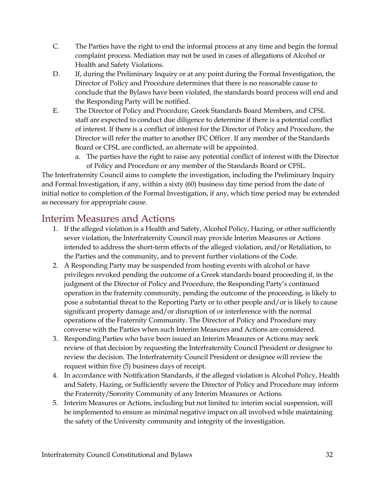- C. The Parties have the right to end the informal process at any time and begin the formal complaint process. Mediation may not be used in cases of allegations of Alcohol or Health and Safety Violations.
- D. If, during the Preliminary Inquiry or at any point during the Formal Investigation, the Director of Policy and Procedure determines that there is no reasonable cause to conclude that the Bylaws have been violated, the standards board process will end and the Responding Party will be notified.
- E. The Director of Policy and Procedure, Greek Standards Board Members, and CFSL staff are expected to conduct due diligence to determine if there is a potential conflict of interest. If there is a conflict of interest for the Director of Policy and Procedure, the Director will refer the matter to another IFC Officer. If any member of the Standards Board or CFSL are conflicted, an alternate will be appointed.
	- a. The parties have the right to raise any potential conflict of interest with the Director of Policy and Procedure or any member of the Standards Board or CFSL.

The Interfraternity Council aims to complete the investigation, including the Preliminary Inquiry and Formal Investigation, if any, within a sixty (60) business day time period from the date of initial notice to completion of the Formal Investigation, if any, which time period may be extended as necessary for appropriate cause.

### <span id="page-32-0"></span>Interim Measures and Actions

- 1. If the alleged violation is a Health and Safety, Alcohol Policy, Hazing, or other sufficiently sever violation, the Interfraternity Council may provide Interim Measures or Actions intended to address the short-term effects of the alleged violation, and/or Retaliation, to the Parties and the community, and to prevent further violations of the Code.
- 2. A Responding Party may be suspended from hosting events with alcohol or have privileges revoked pending the outcome of a Greek standards board proceeding if, in the judgment of the Director of Policy and Procedure, the Responding Party's continued operation in the fraternity community, pending the outcome of the proceeding, is likely to pose a substantial threat to the Reporting Party or to other people and/or is likely to cause significant property damage and/or disruption of or interference with the normal operations of the Fraternity Community. The Director of Policy and Procedure may converse with the Parties when such Interim Measures and Actions are considered.
- 3. Responding Parties who have been issued an Interim Measures or Actions may seek review of that decision by requesting the Interfraternity Council President or designee to review the decision. The Interfraternity Council President or designee will review the request within five (5) business days of receipt.
- 4. In accordance with Notification Standards, if the alleged violation is Alcohol Policy, Health and Safety, Hazing, or Sufficiently severe the Director of Policy and Procedure may inform the Fraternity/Sorority Community of any Interim Measures or Actions.
- 5. Interim Measures or Actions, including but not limited to: interim social suspension, will be implemented to ensure as minimal negative impact on all involved while maintaining the safety of the University community and integrity of the investigation.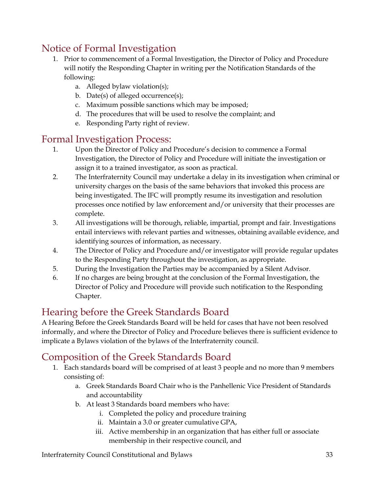# <span id="page-33-0"></span>Notice of Formal Investigation

- 1. Prior to commencement of a Formal Investigation, the Director of Policy and Procedure will notify the Responding Chapter in writing per the Notification Standards of the following:
	- a. Alleged bylaw violation(s);
	- b. Date(s) of alleged occurrence(s);
	- c. Maximum possible sanctions which may be imposed;
	- d. The procedures that will be used to resolve the complaint; and
	- e. Responding Party right of review.

### <span id="page-33-1"></span>Formal Investigation Process:

- 1. Upon the Director of Policy and Procedure's decision to commence a Formal Investigation, the Director of Policy and Procedure will initiate the investigation or assign it to a trained investigator, as soon as practical.
- 2. The Interfraternity Council may undertake a delay in its investigation when criminal or university charges on the basis of the same behaviors that invoked this process are being investigated. The IFC will promptly resume its investigation and resolution processes once notified by law enforcement and/or university that their processes are complete.
- 3. All investigations will be thorough, reliable, impartial, prompt and fair. Investigations entail interviews with relevant parties and witnesses, obtaining available evidence, and identifying sources of information, as necessary.
- 4. The Director of Policy and Procedure and/or investigator will provide regular updates to the Responding Party throughout the investigation, as appropriate.
- 5. During the Investigation the Parties may be accompanied by a Silent Advisor.
- 6. If no charges are being brought at the conclusion of the Formal Investigation, the Director of Policy and Procedure will provide such notification to the Responding Chapter.

# <span id="page-33-2"></span>Hearing before the Greek Standards Board

A Hearing Before the Greek Standards Board will be held for cases that have not been resolved informally, and where the Director of Policy and Procedure believes there is sufficient evidence to implicate a Bylaws violation of the bylaws of the Interfraternity council.

# <span id="page-33-3"></span>Composition of the Greek Standards Board

- 1. Each standards board will be comprised of at least 3 people and no more than 9 members consisting of:
	- a. Greek Standards Board Chair who is the Panhellenic Vice President of Standards and accountability
	- b. At least 3 Standards board members who have:
		- i. Completed the policy and procedure training
		- ii. Maintain a 3.0 or greater cumulative GPA,
		- iii. Active membership in an organization that has either full or associate membership in their respective council, and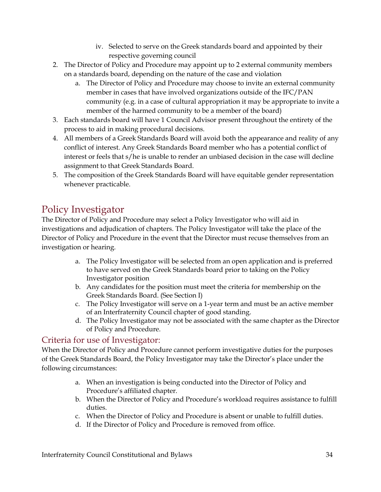- iv. Selected to serve on the Greek standards board and appointed by their respective governing council
- 2. The Director of Policy and Procedure may appoint up to 2 external community members on a standards board, depending on the nature of the case and violation
	- a. The Director of Policy and Procedure may choose to invite an external community member in cases that have involved organizations outside of the IFC/PAN community (e.g. in a case of cultural appropriation it may be appropriate to invite a member of the harmed community to be a member of the board)
- 3. Each standards board will have 1 Council Advisor present throughout the entirety of the process to aid in making procedural decisions.
- 4. All members of a Greek Standards Board will avoid both the appearance and reality of any conflict of interest. Any Greek Standards Board member who has a potential conflict of interest or feels that s/he is unable to render an unbiased decision in the case will decline assignment to that Greek Standards Board.
- 5. The composition of the Greek Standards Board will have equitable gender representation whenever practicable.

# Policy Investigator

The Director of Policy and Procedure may select a Policy Investigator who will aid in investigations and adjudication of chapters. The Policy Investigator will take the place of the Director of Policy and Procedure in the event that the Director must recuse themselves from an investigation or hearing.

- a. The Policy Investigator will be selected from an open application and is preferred to have served on the Greek Standards board prior to taking on the Policy Investigator position
- b. Any candidates for the position must meet the criteria for membership on the Greek Standards Board. (See Section I)
- c. The Policy Investigator will serve on a 1-year term and must be an active member of an Interfraternity Council chapter of good standing.
- d. The Policy Investigator may not be associated with the same chapter as the Director of Policy and Procedure.

#### Criteria for use of Investigator:

When the Director of Policy and Procedure cannot perform investigative duties for the purposes of the Greek Standards Board, the Policy Investigator may take the Director's place under the following circumstances:

- a. When an investigation is being conducted into the Director of Policy and Procedure's affiliated chapter.
- b. When the Director of Policy and Procedure's workload requires assistance to fulfill duties.
- c. When the Director of Policy and Procedure is absent or unable to fulfill duties.
- d. If the Director of Policy and Procedure is removed from office.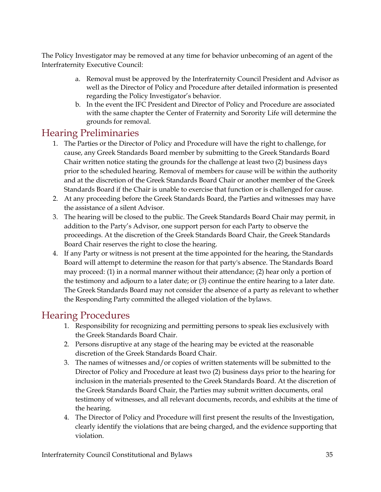The Policy Investigator may be removed at any time for behavior unbecoming of an agent of the Interfraternity Executive Council:

- a. Removal must be approved by the Interfraternity Council President and Advisor as well as the Director of Policy and Procedure after detailed information is presented regarding the Policy Investigator's behavior.
- b. In the event the IFC President and Director of Policy and Procedure are associated with the same chapter the Center of Fraternity and Sorority Life will determine the grounds for removal.

### <span id="page-35-0"></span>Hearing Preliminaries

- 1. The Parties or the Director of Policy and Procedure will have the right to challenge, for cause, any Greek Standards Board member by submitting to the Greek Standards Board Chair written notice stating the grounds for the challenge at least two (2) business days prior to the scheduled hearing. Removal of members for cause will be within the authority and at the discretion of the Greek Standards Board Chair or another member of the Greek Standards Board if the Chair is unable to exercise that function or is challenged for cause.
- 2. At any proceeding before the Greek Standards Board, the Parties and witnesses may have the assistance of a silent Advisor.
- 3. The hearing will be closed to the public. The Greek Standards Board Chair may permit, in addition to the Party's Advisor, one support person for each Party to observe the proceedings. At the discretion of the Greek Standards Board Chair, the Greek Standards Board Chair reserves the right to close the hearing.
- 4. If any Party or witness is not present at the time appointed for the hearing, the Standards Board will attempt to determine the reason for that party's absence. The Standards Board may proceed: (1) in a normal manner without their attendance; (2) hear only a portion of the testimony and adjourn to a later date; or (3) continue the entire hearing to a later date. The Greek Standards Board may not consider the absence of a party as relevant to whether the Responding Party committed the alleged violation of the bylaws.

### <span id="page-35-1"></span>Hearing Procedures

- 1. Responsibility for recognizing and permitting persons to speak lies exclusively with the Greek Standards Board Chair.
- 2. Persons disruptive at any stage of the hearing may be evicted at the reasonable discretion of the Greek Standards Board Chair.
- 3. The names of witnesses and/or copies of written statements will be submitted to the Director of Policy and Procedure at least two (2) business days prior to the hearing for inclusion in the materials presented to the Greek Standards Board. At the discretion of the Greek Standards Board Chair, the Parties may submit written documents, oral testimony of witnesses, and all relevant documents, records, and exhibits at the time of the hearing.
- 4. The Director of Policy and Procedure will first present the results of the Investigation, clearly identify the violations that are being charged, and the evidence supporting that violation.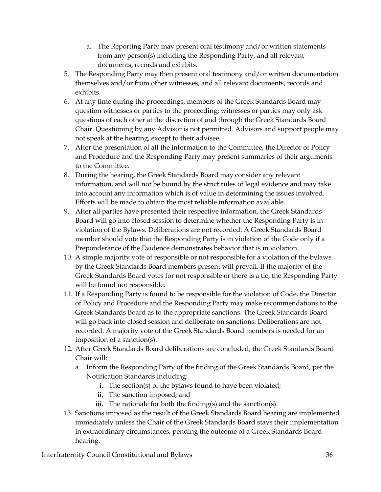- a. The Reporting Party may present oral testimony and/or written statements from any person(s) including the Responding Party, and all relevant documents, records and exhibits.
- 5. The Responding Party may then present oral testimony and/or written documentation themselves and/or from other witnesses, and all relevant documents, records and exhibits.
- 6. At any time during the proceedings, members of the Greek Standards Board may question witnesses or parties to the proceeding; witnesses or parties may only ask questions of each other at the discretion of and through the Greek Standards Board Chair. Questioning by any Advisor is not permitted. Advisors and support people may not speak at the hearing, except to their advisee.
- 7. After the presentation of all the information to the Committee, the Director of Policy and Procedure and the Responding Party may present summaries of their arguments to the Committee.
- 8. During the hearing, the Greek Standards Board may consider any relevant information, and will not be bound by the strict rules of legal evidence and may take into account any information which is of value in determining the issues involved. Efforts will be made to obtain the most reliable information available.
- 9. After all parties have presented their respective information, the Greek Standards Board will go into closed session to determine whether the Responding Party is in violation of the Bylaws. Deliberations are not recorded. A Greek Standards Board member should vote that the Responding Party is in violation of the Code only if a Preponderance of the Evidence demonstrates behavior that is in violation.
- 10. A simple majority vote of responsible or not responsible for a violation of the bylaws by the Greek Standards Board members present will prevail. If the majority of the Greek Standards Board votes for not responsible or there is a tie, the Responding Party will be found not responsible.
- 11. If a Responding Party is found to be responsible for the violation of Code, the Director of Policy and Procedure and the Responding Party may make recommendations to the Greek Standards Board as to the appropriate sanctions. The Greek Standards Board will go back into closed session and deliberate on sanctions. Deliberations are not recorded. A majority vote of the Greek Standards Board members is needed for an imposition of a sanction(s).
- 12. After Greek Standards Board deliberations are concluded, the Greek Standards Board Chair will:
	- a. Inform the Responding Party of the finding of the Greek Standards Board, per the Notification Standards including:
		- i. The section(s) of the bylaws found to have been violated;
		- ii. The sanction imposed; and
		- iii. The rationale for both the finding(s) and the sanction(s).
- 13. Sanctions imposed as the result of the Greek Standards Board hearing are implemented immediately unless the Chair of the Greek Standards Board stays their implementation in extraordinary circumstances, pending the outcome of a Greek Standards Board hearing.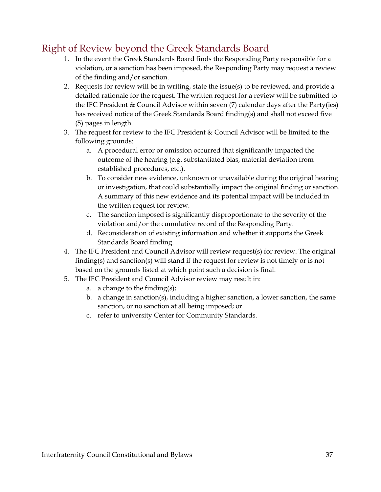### <span id="page-37-0"></span>Right of Review beyond the Greek Standards Board

- 1. In the event the Greek Standards Board finds the Responding Party responsible for a violation, or a sanction has been imposed, the Responding Party may request a review of the finding and/or sanction.
- 2. Requests for review will be in writing, state the issue(s) to be reviewed, and provide a detailed rationale for the request. The written request for a review will be submitted to the IFC President & Council Advisor within seven (7) calendar days after the Party(ies) has received notice of the Greek Standards Board finding(s) and shall not exceed five (5) pages in length.
- 3. The request for review to the IFC President & Council Advisor will be limited to the following grounds:
	- a. A procedural error or omission occurred that significantly impacted the outcome of the hearing (e.g. substantiated bias, material deviation from established procedures, etc.).
	- b. To consider new evidence, unknown or unavailable during the original hearing or investigation, that could substantially impact the original finding or sanction. A summary of this new evidence and its potential impact will be included in the written request for review.
	- c. The sanction imposed is significantly disproportionate to the severity of the violation and/or the cumulative record of the Responding Party.
	- d. Reconsideration of existing information and whether it supports the Greek Standards Board finding.
- 4. The IFC President and Council Advisor will review request(s) for review. The original finding(s) and sanction(s) will stand if the request for review is not timely or is not based on the grounds listed at which point such a decision is final.
- 5. The IFC President and Council Advisor review may result in:
	- a. a change to the finding(s);
	- b. a change in sanction(s), including a higher sanction, a lower sanction, the same sanction, or no sanction at all being imposed; or
	- c. refer to university Center for Community Standards.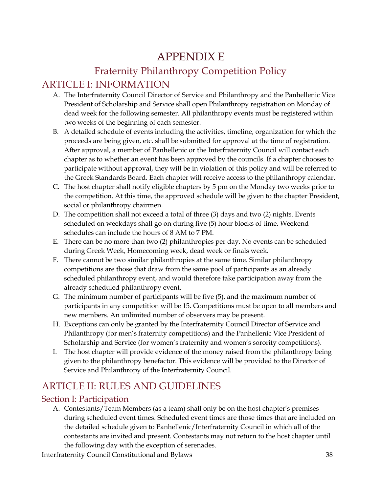# APPENDIX E

# Fraternity Philanthropy Competition Policy ARTICLE I: INFORMATION

- A. The Interfraternity Council Director of Service and Philanthropy and the Panhellenic Vice President of Scholarship and Service shall open Philanthropy registration on Monday of dead week for the following semester. All philanthropy events must be registered within two weeks of the beginning of each semester.
- B. A detailed schedule of events including the activities, timeline, organization for which the proceeds are being given, etc. shall be submitted for approval at the time of registration. After approval, a member of Panhellenic or the Interfraternity Council will contact each chapter as to whether an event has been approved by the councils. If a chapter chooses to participate without approval, they will be in violation of this policy and will be referred to the Greek Standards Board. Each chapter will receive access to the philanthropy calendar.
- C. The host chapter shall notify eligible chapters by 5 pm on the Monday two weeks prior to the competition. At this time, the approved schedule will be given to the chapter President, social or philanthropy chairmen.
- D. The competition shall not exceed a total of three (3) days and two (2) nights. Events scheduled on weekdays shall go on during five (5) hour blocks of time. Weekend schedules can include the hours of 8 AM to 7 PM.
- E. There can be no more than two (2) philanthropies per day. No events can be scheduled during Greek Week, Homecoming week, dead week or finals week.
- F. There cannot be two similar philanthropies at the same time. Similar philanthropy competitions are those that draw from the same pool of participants as an already scheduled philanthropy event, and would therefore take participation away from the already scheduled philanthropy event.
- G. The minimum number of participants will be five (5), and the maximum number of participants in any competition will be 15. Competitions must be open to all members and new members. An unlimited number of observers may be present.
- H. Exceptions can only be granted by the Interfraternity Council Director of Service and Philanthropy (for men's fraternity competitions) and the Panhellenic Vice President of Scholarship and Service (for women's fraternity and women's sorority competitions).
- I. The host chapter will provide evidence of the money raised from the philanthropy being given to the philanthropy benefactor. This evidence will be provided to the Director of Service and Philanthropy of the Interfraternity Council.

# ARTICLE II: RULES AND GUIDELINES

### Section I: Participation

A. Contestants/Team Members (as a team) shall only be on the host chapter's premises during scheduled event times. Scheduled event times are those times that are included on the detailed schedule given to Panhellenic/Interfraternity Council in which all of the contestants are invited and present. Contestants may not return to the host chapter until the following day with the exception of serenades.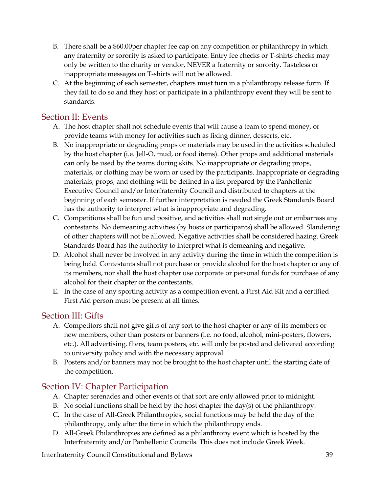- B. There shall be a \$60.00per chapter fee cap on any competition or philanthropy in which any fraternity or sorority is asked to participate. Entry fee checks or T-shirts checks may only be written to the charity or vendor, NEVER a fraternity or sorority. Tasteless or inappropriate messages on T-shirts will not be allowed.
- C. At the beginning of each semester, chapters must turn in a philanthropy release form. If they fail to do so and they host or participate in a philanthropy event they will be sent to standards.

#### Section II: Events

- A. The host chapter shall not schedule events that will cause a team to spend money, or provide teams with money for activities such as fixing dinner, desserts, etc.
- B. No inappropriate or degrading props or materials may be used in the activities scheduled by the host chapter (i.e. Jell-O, mud, or food items). Other props and additional materials can only be used by the teams during skits. No inappropriate or degrading props, materials, or clothing may be worn or used by the participants. Inappropriate or degrading materials, props, and clothing will be defined in a list prepared by the Panhellenic Executive Council and/or Interfraternity Council and distributed to chapters at the beginning of each semester. If further interpretation is needed the Greek Standards Board has the authority to interpret what is inappropriate and degrading.
- C. Competitions shall be fun and positive, and activities shall not single out or embarrass any contestants. No demeaning activities (by hosts or participants) shall be allowed. Slandering of other chapters will not be allowed. Negative activities shall be considered hazing. Greek Standards Board has the authority to interpret what is demeaning and negative.
- D. Alcohol shall never be involved in any activity during the time in which the competition is being held. Contestants shall not purchase or provide alcohol for the host chapter or any of its members, nor shall the host chapter use corporate or personal funds for purchase of any alcohol for their chapter or the contestants.
- E. In the case of any sporting activity as a competition event, a First Aid Kit and a certified First Aid person must be present at all times.

#### Section III: Gifts

- A. Competitors shall not give gifts of any sort to the host chapter or any of its members or new members, other than posters or banners (i.e. no food, alcohol, mini-posters, flowers, etc.). All advertising, fliers, team posters, etc. will only be posted and delivered according to university policy and with the necessary approval.
- B. Posters and/or banners may not be brought to the host chapter until the starting date of the competition.

#### Section IV: Chapter Participation

- A. Chapter serenades and other events of that sort are only allowed prior to midnight.
- B. No social functions shall be held by the host chapter the day(s) of the philanthropy.
- C. In the case of All-Greek Philanthropies, social functions may be held the day of the philanthropy, only after the time in which the philanthropy ends.
- D. All-Greek Philanthropies are defined as a philanthropy event which is hosted by the Interfraternity and/or Panhellenic Councils. This does not include Greek Week.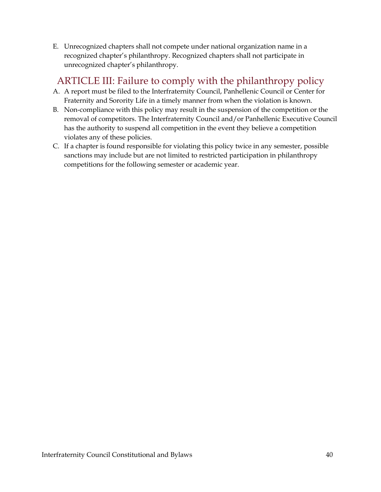E. Unrecognized chapters shall not compete under national organization name in a recognized chapter's philanthropy. Recognized chapters shall not participate in unrecognized chapter's philanthropy.

### ARTICLE III: Failure to comply with the philanthropy policy

- A. A report must be filed to the Interfraternity Council, Panhellenic Council or Center for Fraternity and Sorority Life in a timely manner from when the violation is known.
- B. Non-compliance with this policy may result in the suspension of the competition or the removal of competitors. The Interfraternity Council and/or Panhellenic Executive Council has the authority to suspend all competition in the event they believe a competition violates any of these policies.
- C. If a chapter is found responsible for violating this policy twice in any semester, possible sanctions may include but are not limited to restricted participation in philanthropy competitions for the following semester or academic year.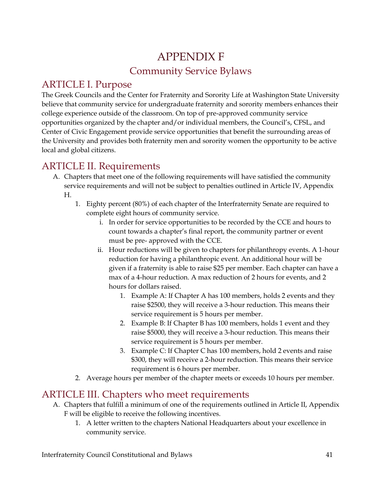# APPENDIX F Community Service Bylaws

# ARTICLE I. Purpose

The Greek Councils and the Center for Fraternity and Sorority Life at Washington State University believe that community service for undergraduate fraternity and sorority members enhances their college experience outside of the classroom. On top of pre-approved community service opportunities organized by the chapter and/or individual members, the Council's, CFSL, and Center of Civic Engagement provide service opportunities that benefit the surrounding areas of the University and provides both fraternity men and sorority women the opportunity to be active local and global citizens.

# ARTICLE II. Requirements

- A. Chapters that meet one of the following requirements will have satisfied the community service requirements and will not be subject to penalties outlined in Article IV, Appendix H.
	- 1. Eighty percent (80%) of each chapter of the Interfraternity Senate are required to complete eight hours of community service.
		- i. In order for service opportunities to be recorded by the CCE and hours to count towards a chapter's final report, the community partner or event must be pre- approved with the CCE.
		- ii. Hour reductions will be given to chapters for philanthropy events. A 1-hour reduction for having a philanthropic event. An additional hour will be given if a fraternity is able to raise \$25 per member. Each chapter can have a max of a 4-hour reduction. A max reduction of 2 hours for events, and 2 hours for dollars raised.
			- 1. Example A: If Chapter A has 100 members, holds 2 events and they raise \$2500, they will receive a 3-hour reduction. This means their service requirement is 5 hours per member.
			- 2. Example B: If Chapter B has 100 members, holds 1 event and they raise \$5000, they will receive a 3-hour reduction. This means their service requirement is 5 hours per member.
			- 3. Example C: If Chapter C has 100 members, hold 2 events and raise \$300, they will receive a 2-hour reduction. This means their service requirement is 6 hours per member.
	- 2. Average hours per member of the chapter meets or exceeds 10 hours per member.

# ARTICLE III. Chapters who meet requirements

- A. Chapters that fulfill a minimum of one of the requirements outlined in Article II, Appendix F will be eligible to receive the following incentives.
	- 1. A letter written to the chapters National Headquarters about your excellence in community service.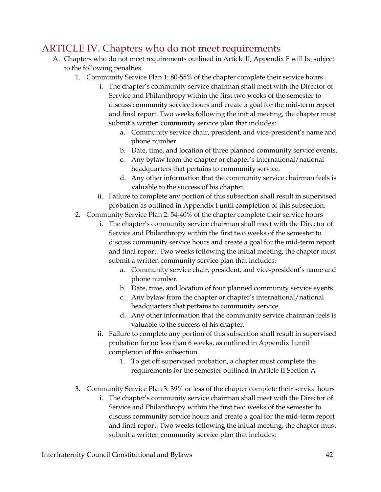### ARTICLE IV. Chapters who do not meet requirements

- A. Chapters who do not meet requirements outlined in Article II, Appendix F will be subject to the following penalties.
	- 1. Community Service Plan 1: 80-55% of the chapter complete their service hours
		- i. The chapter's community service chairman shall meet with the Director of Service and Philanthropy within the first two weeks of the semester to discuss community service hours and create a goal for the mid-term report and final report. Two weeks following the initial meeting, the chapter must submit a written community service plan that includes:
			- a. Community service chair, president, and vice-president's name and phone number.
			- b. Date, time, and location of three planned community service events.
			- c. Any bylaw from the chapter or chapter's international/national headquarters that pertains to community service.
			- d. Any other information that the community service chairman feels is valuable to the success of his chapter.
		- ii. Failure to complete any portion of this subsection shall result in supervised probation as outlined in Appendix I until completion of this subsection.
	- 2. Community Service Plan 2: 54-40% of the chapter complete their service hours
		- i. The chapter's community service chairman shall meet with the Director of Service and Philanthropy within the first two weeks of the semester to discuss community service hours and create a goal for the mid-term report and final report. Two weeks following the initial meeting, the chapter must submit a written community service plan that includes:
			- a. Community service chair, president, and vice-president's name and phone number.
			- b. Date, time, and location of four planned community service events.
			- c. Any bylaw from the chapter or chapter's international/national headquarters that pertains to community service.
			- d. Any other information that the community service chairman feels is valuable to the success of his chapter.
		- ii. Failure to complete any portion of this subsection shall result in supervised probation for no less than 6 weeks, as outlined in Appendix I until completion of this subsection.
			- 1. To get off supervised probation, a chapter must complete the requirements for the semester outlined in Article II Section A
	- 3. Community Service Plan 3: 39% or less of the chapter complete their service hours
		- i. The chapter's community service chairman shall meet with the Director of Service and Philanthropy within the first two weeks of the semester to discuss community service hours and create a goal for the mid-term report and final report. Two weeks following the initial meeting, the chapter must submit a written community service plan that includes: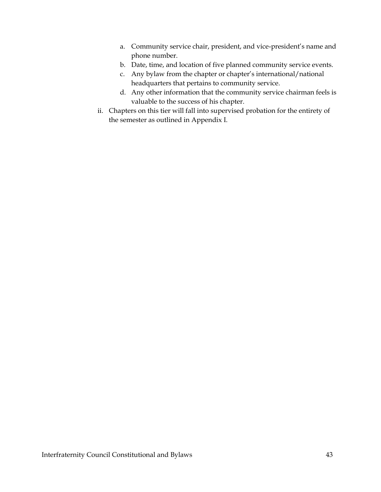- a. Community service chair, president, and vice-president's name and phone number.
- b. Date, time, and location of five planned community service events.
- c. Any bylaw from the chapter or chapter's international/national headquarters that pertains to community service.
- d. Any other information that the community service chairman feels is valuable to the success of his chapter.
- ii. Chapters on this tier will fall into supervised probation for the entirety of the semester as outlined in Appendix I.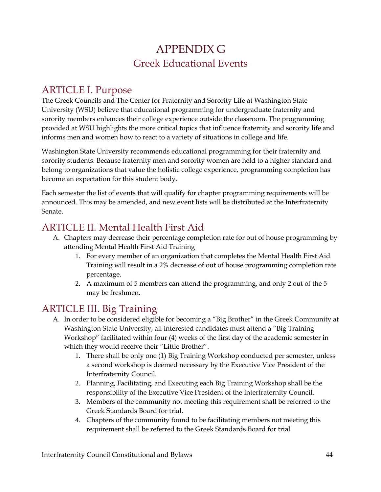# APPENDIX G Greek Educational Events

### ARTICLE I. Purpose

The Greek Councils and The Center for Fraternity and Sorority Life at Washington State University (WSU) believe that educational programming for undergraduate fraternity and sorority members enhances their college experience outside the classroom. The programming provided at WSU highlights the more critical topics that influence fraternity and sorority life and informs men and women how to react to a variety of situations in college and life.

Washington State University recommends educational programming for their fraternity and sorority students. Because fraternity men and sorority women are held to a higher standard and belong to organizations that value the holistic college experience, programming completion has become an expectation for this student body.

Each semester the list of events that will qualify for chapter programming requirements will be announced. This may be amended, and new event lists will be distributed at the Interfraternity Senate.

### ARTICLE II. Mental Health First Aid

- A. Chapters may decrease their percentage completion rate for out of house programming by attending Mental Health First Aid Training
	- 1. For every member of an organization that completes the Mental Health First Aid Training will result in a 2% decrease of out of house programming completion rate percentage.
	- 2. A maximum of 5 members can attend the programming, and only 2 out of the 5 may be freshmen.

### ARTICLE III. Big Training

- A. In order to be considered eligible for becoming a "Big Brother" in the Greek Community at Washington State University, all interested candidates must attend a "Big Training Workshop" facilitated within four (4) weeks of the first day of the academic semester in which they would receive their "Little Brother".
	- 1. There shall be only one (1) Big Training Workshop conducted per semester, unless a second workshop is deemed necessary by the Executive Vice President of the Interfraternity Council.
	- 2. Planning, Facilitating, and Executing each Big Training Workshop shall be the responsibility of the Executive Vice President of the Interfraternity Council.
	- 3. Members of the community not meeting this requirement shall be referred to the Greek Standards Board for trial.
	- 4. Chapters of the community found to be facilitating members not meeting this requirement shall be referred to the Greek Standards Board for trial.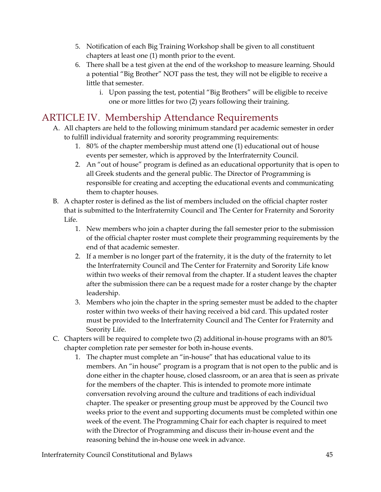- 5. Notification of each Big Training Workshop shall be given to all constituent chapters at least one (1) month prior to the event.
- 6. There shall be a test given at the end of the workshop to measure learning. Should a potential "Big Brother" NOT pass the test, they will not be eligible to receive a little that semester.
	- i. Upon passing the test, potential "Big Brothers" will be eligible to receive one or more littles for two (2) years following their training.

### ARTICLE IV. Membership Attendance Requirements

- A. All chapters are held to the following minimum standard per academic semester in order to fulfill individual fraternity and sorority programming requirements:
	- 1. 80% of the chapter membership must attend one (1) educational out of house events per semester, which is approved by the Interfraternity Council.
	- 2. An "out of house" program is defined as an educational opportunity that is open to all Greek students and the general public. The Director of Programming is responsible for creating and accepting the educational events and communicating them to chapter houses.
- B. A chapter roster is defined as the list of members included on the official chapter roster that is submitted to the Interfraternity Council and The Center for Fraternity and Sorority Life.
	- 1. New members who join a chapter during the fall semester prior to the submission of the official chapter roster must complete their programming requirements by the end of that academic semester.
	- 2. If a member is no longer part of the fraternity, it is the duty of the fraternity to let the Interfraternity Council and The Center for Fraternity and Sorority Life know within two weeks of their removal from the chapter. If a student leaves the chapter after the submission there can be a request made for a roster change by the chapter leadership.
	- 3. Members who join the chapter in the spring semester must be added to the chapter roster within two weeks of their having received a bid card. This updated roster must be provided to the Interfraternity Council and The Center for Fraternity and Sorority Life.
- C. Chapters will be required to complete two (2) additional in-house programs with an 80% chapter completion rate per semester for both in-house events.
	- 1. The chapter must complete an "in-house" that has educational value to its members. An "in house" program is a program that is not open to the public and is done either in the chapter house, closed classroom, or an area that is seen as private for the members of the chapter. This is intended to promote more intimate conversation revolving around the culture and traditions of each individual chapter. The speaker or presenting group must be approved by the Council two weeks prior to the event and supporting documents must be completed within one week of the event. The Programming Chair for each chapter is required to meet with the Director of Programming and discuss their in-house event and the reasoning behind the in-house one week in advance.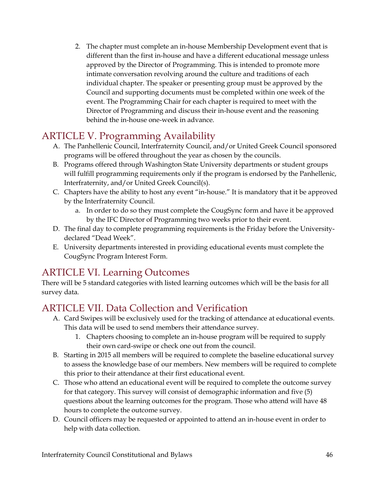2. The chapter must complete an in-house Membership Development event that is different than the first in-house and have a different educational message unless approved by the Director of Programming. This is intended to promote more intimate conversation revolving around the culture and traditions of each individual chapter. The speaker or presenting group must be approved by the Council and supporting documents must be completed within one week of the event. The Programming Chair for each chapter is required to meet with the Director of Programming and discuss their in-house event and the reasoning behind the in-house one-week in advance.

# ARTICLE V. Programming Availability

- A. The Panhellenic Council, Interfraternity Council, and/or United Greek Council sponsored programs will be offered throughout the year as chosen by the councils.
- B. Programs offered through Washington State University departments or student groups will fulfill programming requirements only if the program is endorsed by the Panhellenic, Interfraternity, and/or United Greek Council(s).
- C. Chapters have the ability to host any event "in-house." It is mandatory that it be approved by the Interfraternity Council.
	- a. In order to do so they must complete the CougSync form and have it be approved by the IFC Director of Programming two weeks prior to their event.
- D. The final day to complete programming requirements is the Friday before the Universitydeclared "Dead Week".
- E. University departments interested in providing educational events must complete the CougSync Program Interest Form.

# ARTICLE VI. Learning Outcomes

There will be 5 standard categories with listed learning outcomes which will be the basis for all survey data.

# ARTICLE VII. Data Collection and Verification

- A. Card Swipes will be exclusively used for the tracking of attendance at educational events. This data will be used to send members their attendance survey.
	- 1. Chapters choosing to complete an in-house program will be required to supply their own card-swipe or check one out from the council.
- B. Starting in 2015 all members will be required to complete the baseline educational survey to assess the knowledge base of our members. New members will be required to complete this prior to their attendance at their first educational event.
- C. Those who attend an educational event will be required to complete the outcome survey for that category. This survey will consist of demographic information and five (5) questions about the learning outcomes for the program. Those who attend will have 48 hours to complete the outcome survey.
- D. Council officers may be requested or appointed to attend an in-house event in order to help with data collection.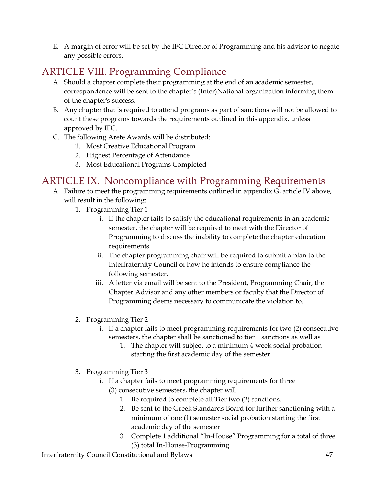E. A margin of error will be set by the IFC Director of Programming and his advisor to negate any possible errors.

### ARTICLE VIII. Programming Compliance

- A. Should a chapter complete their programming at the end of an academic semester, correspondence will be sent to the chapter's (Inter)National organization informing them of the chapter's success.
- B. Any chapter that is required to attend programs as part of sanctions will not be allowed to count these programs towards the requirements outlined in this appendix, unless approved by IFC.
- C. The following Arete Awards will be distributed:
	- 1. Most Creative Educational Program
	- 2. Highest Percentage of Attendance
	- 3. Most Educational Programs Completed

### ARTICLE IX. Noncompliance with Programming Requirements

- A. Failure to meet the programming requirements outlined in appendix G, article IV above, will result in the following:
	- 1. Programming Tier 1
		- i. If the chapter fails to satisfy the educational requirements in an academic semester, the chapter will be required to meet with the Director of Programming to discuss the inability to complete the chapter education requirements.
		- ii. The chapter programming chair will be required to submit a plan to the Interfraternity Council of how he intends to ensure compliance the following semester.
		- iii. A letter via email will be sent to the President, Programming Chair, the Chapter Advisor and any other members or faculty that the Director of Programming deems necessary to communicate the violation to.
	- 2. Programming Tier 2
		- i. If a chapter fails to meet programming requirements for two (2) consecutive semesters, the chapter shall be sanctioned to tier 1 sanctions as well as
			- 1. The chapter will subject to a minimum 4-week social probation starting the first academic day of the semester.
	- 3. Programming Tier 3
		- i. If a chapter fails to meet programming requirements for three (3) consecutive semesters, the chapter will
			- 1. Be required to complete all Tier two (2) sanctions.
			- 2. Be sent to the Greek Standards Board for further sanctioning with a minimum of one (1) semester social probation starting the first academic day of the semester
			- 3. Complete 1 additional "In-House" Programming for a total of three (3) total In-House-Programming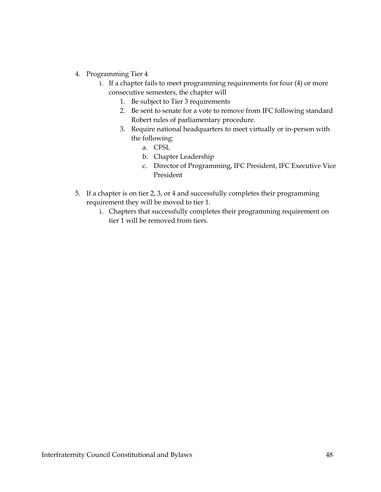- 4. Programming Tier 4
	- i. If a chapter fails to meet programming requirements for four (4) or more consecutive semesters, the chapter will
		- 1. Be subject to Tier 3 requirements
		- 2. Be sent to senate for a vote to remove from IFC following standard Robert rules of parliamentary procedure.
		- 3. Require national headquarters to meet virtually or in-person with the following:
			- a. CFSL
			- b. Chapter Leadership
			- c. Director of Programming, IFC President, IFC Executive Vice President
- 5. If a chapter is on tier 2, 3, or 4 and successfully completes their programming requirement they will be moved to tier 1.
	- i. Chapters that successfully completes their programming requirement on tier 1 will be removed from tiers.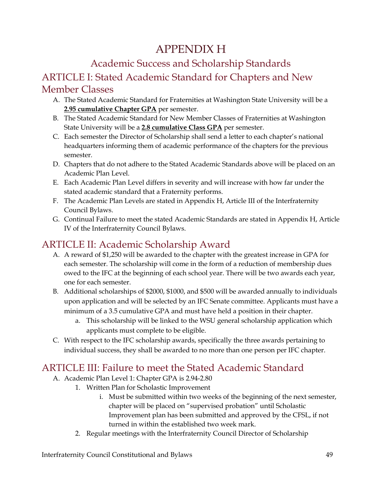# APPENDIX H

# Academic Success and Scholarship Standards ARTICLE I: Stated Academic Standard for Chapters and New Member Classes

- A. The Stated Academic Standard for Fraternities at Washington State University will be a **2.95 cumulative Chapter GPA** per semester.
- B. The Stated Academic Standard for New Member Classes of Fraternities at Washington State University will be a **2.8 cumulative Class GPA** per semester.
- C. Each semester the Director of Scholarship shall send a letter to each chapter's national headquarters informing them of academic performance of the chapters for the previous semester.
- D. Chapters that do not adhere to the Stated Academic Standards above will be placed on an Academic Plan Level.
- E. Each Academic Plan Level differs in severity and will increase with how far under the stated academic standard that a Fraternity performs.
- F. The Academic Plan Levels are stated in Appendix H, Article III of the Interfraternity Council Bylaws.
- G. Continual Failure to meet the stated Academic Standards are stated in Appendix H, Article IV of the Interfraternity Council Bylaws.

# ARTICLE II: Academic Scholarship Award

- A. A reward of \$1,250 will be awarded to the chapter with the greatest increase in GPA for each semester. The scholarship will come in the form of a reduction of membership dues owed to the IFC at the beginning of each school year. There will be two awards each year, one for each semester.
- B. Additional scholarships of \$2000, \$1000, and \$500 will be awarded annually to individuals upon application and will be selected by an IFC Senate committee. Applicants must have a minimum of a 3.5 cumulative GPA and must have held a position in their chapter.
	- a. This scholarship will be linked to the WSU general scholarship application which applicants must complete to be eligible.
- C. With respect to the IFC scholarship awards, specifically the three awards pertaining to individual success, they shall be awarded to no more than one person per IFC chapter.

# ARTICLE III: Failure to meet the Stated Academic Standard

- A. Academic Plan Level 1: Chapter GPA is 2.94-2.80
	- 1. Written Plan for Scholastic Improvement
		- i. Must be submitted within two weeks of the beginning of the next semester, chapter will be placed on "supervised probation" until Scholastic Improvement plan has been submitted and approved by the CFSL, if not turned in within the established two week mark.
	- 2. Regular meetings with the Interfraternity Council Director of Scholarship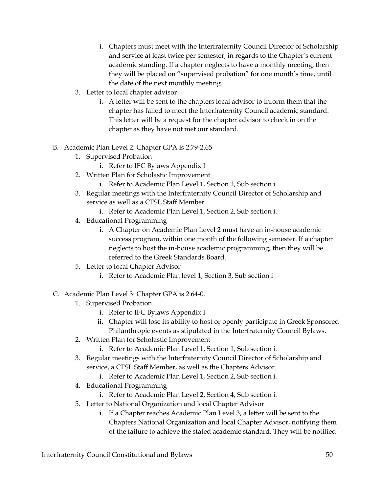- i. Chapters must meet with the Interfraternity Council Director of Scholarship and service at least twice per semester, in regards to the Chapter's current academic standing. If a chapter neglects to have a monthly meeting, then they will be placed on "supervised probation" for one month's time, until the date of the next monthly meeting.
- 3. Letter to local chapter advisor
	- i. A letter will be sent to the chapters local advisor to inform them that the chapter has failed to meet the Interfraternity Council academic standard. This letter will be a request for the chapter advisor to check in on the chapter as they have not met our standard.
- B. Academic Plan Level 2: Chapter GPA is 2.79-2.65
	- 1. Supervised Probation
		- i. Refer to IFC Bylaws Appendix I
	- 2. Written Plan for Scholastic Improvement
		- i. Refer to Academic Plan Level 1, Section 1, Sub section i.
	- 3. Regular meetings with the Interfraternity Council Director of Scholarship and service as well as a CFSL Staff Member
		- i. Refer to Academic Plan Level 1, Section 2, Sub section i.
	- 4. Educational Programming
		- i. A Chapter on Academic Plan Level 2 must have an in-house academic success program, within one month of the following semester. If a chapter neglects to host the in-house academic programming, then they will be referred to the Greek Standards Board.
	- 5. Letter to local Chapter Advisor
		- i. Refer to Academic Plan level 1, Section 3, Sub section i
- C. Academic Plan Level 3: Chapter GPA is 2.64-0.
	- 1. Supervised Probation
		- i. Refer to IFC Bylaws Appendix I
		- ii. Chapter will lose its ability to host or openly participate in Greek Sponsored Philanthropic events as stipulated in the Interfraternity Council Bylaws.
	- 2. Written Plan for Scholastic Improvement
		- i. Refer to Academic Plan Level 1, Section 1, Sub section i.
	- 3. Regular meetings with the Interfraternity Council Director of Scholarship and service, a CFSL Staff Member, as well as the Chapters Advisor.
		- i. Refer to Academic Plan Level 1, Section 2, Sub section i.
	- 4. Educational Programming
		- i. Refer to Academic Plan Level 2, Section 4, Sub section i.
	- 5. Letter to National Organization and local Chapter Advisor
		- i. If a Chapter reaches Academic Plan Level 3, a letter will be sent to the Chapters National Organization and local Chapter Advisor, notifying them of the failure to achieve the stated academic standard. They will be notified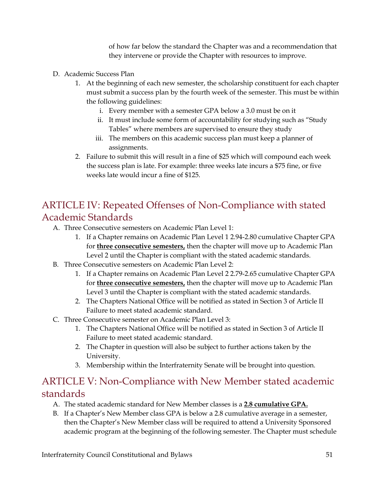of how far below the standard the Chapter was and a recommendation that they intervene or provide the Chapter with resources to improve.

- D. Academic Success Plan
	- 1. At the beginning of each new semester, the scholarship constituent for each chapter must submit a success plan by the fourth week of the semester. This must be within the following guidelines:
		- i. Every member with a semester GPA below a 3.0 must be on it
		- ii. It must include some form of accountability for studying such as "Study Tables" where members are supervised to ensure they study
		- iii. The members on this academic success plan must keep a planner of assignments.
	- 2. Failure to submit this will result in a fine of \$25 which will compound each week the success plan is late. For example: three weeks late incurs a \$75 fine, or five weeks late would incur a fine of \$125.

# ARTICLE IV: Repeated Offenses of Non-Compliance with stated Academic Standards

- A. Three Consecutive semesters on Academic Plan Level 1:
	- 1. If a Chapter remains on Academic Plan Level 1 2.94-2.80 cumulative Chapter GPA for **three consecutive semesters,** then the chapter will move up to Academic Plan Level 2 until the Chapter is compliant with the stated academic standards.
- B. Three Consecutive semesters on Academic Plan Level 2:
	- 1. If a Chapter remains on Academic Plan Level 2 2.79-2.65 cumulative Chapter GPA for **three consecutive semesters,** then the chapter will move up to Academic Plan Level 3 until the Chapter is compliant with the stated academic standards.
	- 2. The Chapters National Office will be notified as stated in Section 3 of Article II Failure to meet stated academic standard.
- C. Three Consecutive semester on Academic Plan Level 3:
	- 1. The Chapters National Office will be notified as stated in Section 3 of Article II Failure to meet stated academic standard.
	- 2. The Chapter in question will also be subject to further actions taken by the University.
	- 3. Membership within the Interfraternity Senate will be brought into question.

### ARTICLE V: Non-Compliance with New Member stated academic standards

- A. The stated academic standard for New Member classes is a **2.8 cumulative GPA.**
- B. If a Chapter's New Member class GPA is below a 2.8 cumulative average in a semester, then the Chapter's New Member class will be required to attend a University Sponsored academic program at the beginning of the following semester. The Chapter must schedule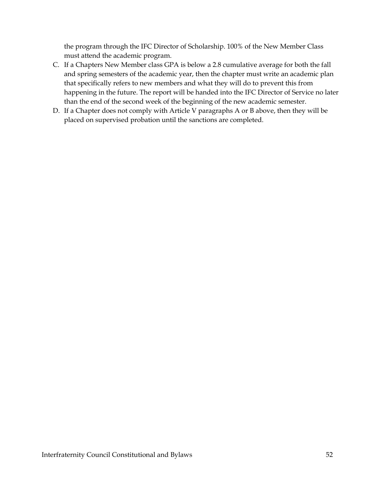the program through the IFC Director of Scholarship. 100% of the New Member Class must attend the academic program.

- C. If a Chapters New Member class GPA is below a 2.8 cumulative average for both the fall and spring semesters of the academic year, then the chapter must write an academic plan that specifically refers to new members and what they will do to prevent this from happening in the future. The report will be handed into the IFC Director of Service no later than the end of the second week of the beginning of the new academic semester.
- D. If a Chapter does not comply with Article V paragraphs A or B above, then they will be placed on supervised probation until the sanctions are completed.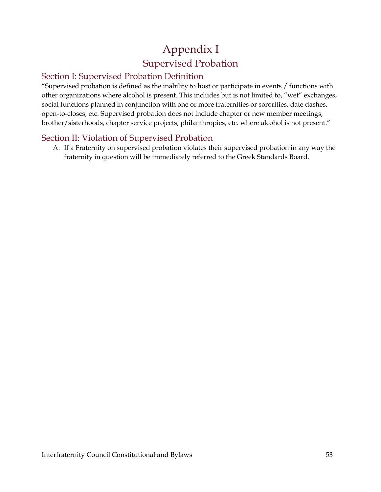# Appendix I Supervised Probation

### Section I: Supervised Probation Definition

"Supervised probation is defined as the inability to host or participate in events / functions with other organizations where alcohol is present. This includes but is not limited to, "wet" exchanges, social functions planned in conjunction with one or more fraternities or sororities, date dashes, open-to-closes, etc. Supervised probation does not include chapter or new member meetings, brother/sisterhoods, chapter service projects, philanthropies, etc. where alcohol is not present."

#### Section II: Violation of Supervised Probation

A. If a Fraternity on supervised probation violates their supervised probation in any way the fraternity in question will be immediately referred to the Greek Standards Board.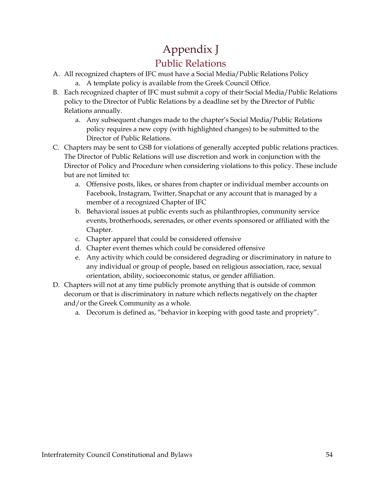# Appendix J Public Relations

- A. All recognized chapters of IFC must have a Social Media/Public Relations Policy
	- a. A template policy is available from the Greek Council Office.
- B. Each recognized chapter of IFC must submit a copy of their Social Media/Public Relations policy to the Director of Public Relations by a deadline set by the Director of Public Relations annually.
	- a. Any subsequent changes made to the chapter's Social Media/Public Relations policy requires a new copy (with highlighted changes) to be submitted to the Director of Public Relations.
- C. Chapters may be sent to GSB for violations of generally accepted public relations practices. The Director of Public Relations will use discretion and work in conjunction with the Director of Policy and Procedure when considering violations to this policy. These include but are not limited to:
	- a. Offensive posts, likes, or shares from chapter or individual member accounts on Facebook, Instagram, Twitter, Snapchat or any account that is managed by a member of a recognized Chapter of IFC
	- b. Behavioral issues at public events such as philanthropies, community service events, brotherhoods, serenades, or other events sponsored or affiliated with the Chapter.
	- c. Chapter apparel that could be considered offensive
	- d. Chapter event themes which could be considered offensive
	- e. Any activity which could be considered degrading or discriminatory in nature to any individual or group of people, based on religious association, race, sexual orientation, ability, socioeconomic status, or gender affiliation.
- D. Chapters will not at any time publicly promote anything that is outside of common decorum or that is discriminatory in nature which reflects negatively on the chapter and/or the Greek Community as a whole.
	- a. Decorum is defined as, "behavior in keeping with good taste and propriety".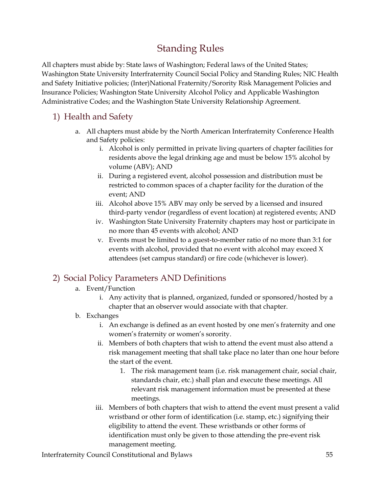# Standing Rules

All chapters must abide by: State laws of Washington; Federal laws of the United States; Washington State University Interfraternity Council Social Policy and Standing Rules; NIC Health and Safety Initiative policies; (Inter)National Fraternity/Sorority Risk Management Policies and Insurance Policies; Washington State University Alcohol Policy and Applicable Washington Administrative Codes; and the Washington State University Relationship Agreement.

### 1) Health and Safety

- a. All chapters must abide by the North American Interfraternity Conference Health and Safety policies:
	- i. Alcohol is only permitted in private living quarters of chapter facilities for residents above the legal drinking age and must be below 15% alcohol by volume (ABV); AND
	- ii. During a registered event, alcohol possession and distribution must be restricted to common spaces of a chapter facility for the duration of the event; AND
	- iii. Alcohol above 15% ABV may only be served by a licensed and insured third-party vendor (regardless of event location) at registered events; AND
	- iv. Washington State University Fraternity chapters may host or participate in no more than 45 events with alcohol; AND
	- v. Events must be limited to a guest-to-member ratio of no more than 3:1 for events with alcohol, provided that no event with alcohol may exceed X attendees (set campus standard) or fire code (whichever is lower).

### 2) Social Policy Parameters AND Definitions

- a. Event/Function
	- i. Any activity that is planned, organized, funded or sponsored/hosted by a chapter that an observer would associate with that chapter.
- b. Exchanges
	- i. An exchange is defined as an event hosted by one men's fraternity and one women's fraternity or women's sorority.
	- ii. Members of both chapters that wish to attend the event must also attend a risk management meeting that shall take place no later than one hour before the start of the event.
		- 1. The risk management team (i.e. risk management chair, social chair, standards chair, etc.) shall plan and execute these meetings. All relevant risk management information must be presented at these meetings.
	- iii. Members of both chapters that wish to attend the event must present a valid wristband or other form of identification (i.e. stamp, etc.) signifying their eligibility to attend the event. These wristbands or other forms of identification must only be given to those attending the pre-event risk management meeting.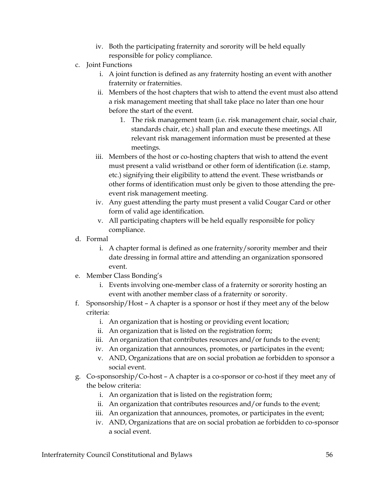- iv. Both the participating fraternity and sorority will be held equally responsible for policy compliance.
- c. Joint Functions
	- i. A joint function is defined as any fraternity hosting an event with another fraternity or fraternities.
	- ii. Members of the host chapters that wish to attend the event must also attend a risk management meeting that shall take place no later than one hour before the start of the event.
		- 1. The risk management team (i.e. risk management chair, social chair, standards chair, etc.) shall plan and execute these meetings. All relevant risk management information must be presented at these meetings.
	- iii. Members of the host or co-hosting chapters that wish to attend the event must present a valid wristband or other form of identification (i.e. stamp, etc.) signifying their eligibility to attend the event. These wristbands or other forms of identification must only be given to those attending the preevent risk management meeting.
	- iv. Any guest attending the party must present a valid Cougar Card or other form of valid age identification.
	- v. All participating chapters will be held equally responsible for policy compliance.
- d. Formal
	- i. A chapter formal is defined as one fraternity/sorority member and their date dressing in formal attire and attending an organization sponsored event.
- e. Member Class Bonding's
	- i. Events involving one-member class of a fraternity or sorority hosting an event with another member class of a fraternity or sorority.
- f. Sponsorship/Host A chapter is a sponsor or host if they meet any of the below criteria:
	- i. An organization that is hosting or providing event location;
	- ii. An organization that is listed on the registration form;
	- iii. An organization that contributes resources and/or funds to the event;
	- iv. An organization that announces, promotes, or participates in the event;
	- v. AND, Organizations that are on social probation ae forbidden to sponsor a social event.
- g. Co-sponsorship/Co-host A chapter is a co-sponsor or co-host if they meet any of the below criteria:
	- i. An organization that is listed on the registration form;
	- ii. An organization that contributes resources and/or funds to the event;
	- iii. An organization that announces, promotes, or participates in the event;
	- iv. AND, Organizations that are on social probation ae forbidden to co-sponsor a social event.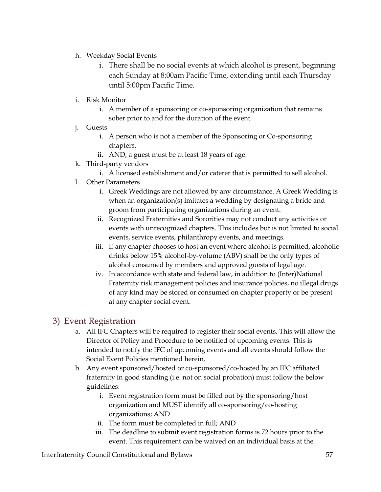- h. Weekday Social Events
	- i. There shall be no social events at which alcohol is present, beginning each Sunday at 8:00am Pacific Time, extending until each Thursday until 5:00pm Pacific Time.
- i. Risk Monitor
	- i. A member of a sponsoring or co-sponsoring organization that remains sober prior to and for the duration of the event.
- j. Guests
	- i. A person who is not a member of the Sponsoring or Co-sponsoring chapters.
	- ii. AND, a guest must be at least 18 years of age.
- k. Third-party vendors
	- i. A licensed establishment and/or caterer that is permitted to sell alcohol.
- l. Other Parameters
	- i. Greek Weddings are not allowed by any circumstance. A Greek Wedding is when an organization(s) imitates a wedding by designating a bride and groom from participating organizations during an event.
	- ii. Recognized Fraternities and Sororities may not conduct any activities or events with unrecognized chapters. This includes but is not limited to social events, service events, philanthropy events, and meetings.
	- iii. If any chapter chooses to host an event where alcohol is permitted, alcoholic drinks below 15% alcohol-by-volume (ABV) shall be the only types of alcohol consumed by members and approved guests of legal age.
	- iv. In accordance with state and federal law, in addition to (Inter)National Fraternity risk management policies and insurance policies, no illegal drugs of any kind may be stored or consumed on chapter property or be present at any chapter social event.

#### 3) Event Registration

- a. All IFC Chapters will be required to register their social events. This will allow the Director of Policy and Procedure to be notified of upcoming events. This is intended to notify the IFC of upcoming events and all events should follow the Social Event Policies mentioned herein.
- b. Any event sponsored/hosted or co-sponsored/co-hosted by an IFC affiliated fraternity in good standing (i.e. not on social probation) must follow the below guidelines:
	- i. Event registration form must be filled out by the sponsoring/host organization and MUST identify all co-sponsoring/co-hosting organizations; AND
	- ii. The form must be completed in full; AND
	- iii. The deadline to submit event registration forms is 72 hours prior to the event. This requirement can be waived on an individual basis at the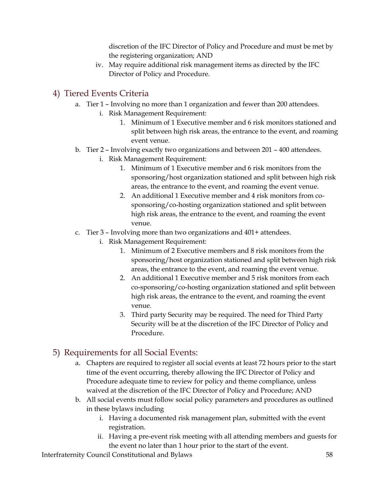discretion of the IFC Director of Policy and Procedure and must be met by the registering organization; AND

iv. May require additional risk management items as directed by the IFC Director of Policy and Procedure.

#### 4) Tiered Events Criteria

- a. Tier 1 Involving no more than 1 organization and fewer than 200 attendees.
	- i. Risk Management Requirement:
		- 1. Minimum of 1 Executive member and 6 risk monitors stationed and split between high risk areas, the entrance to the event, and roaming event venue.
- b. Tier 2 Involving exactly two organizations and between 201 400 attendees.
	- i. Risk Management Requirement:
		- 1. Minimum of 1 Executive member and 6 risk monitors from the sponsoring/host organization stationed and split between high risk areas, the entrance to the event, and roaming the event venue.
		- 2. An additional 1 Executive member and 4 risk monitors from cosponsoring/co-hosting organization stationed and split between high risk areas, the entrance to the event, and roaming the event venue.
- c. Tier 3 Involving more than two organizations and 401+ attendees.
	- i. Risk Management Requirement:
		- 1. Minimum of 2 Executive members and 8 risk monitors from the sponsoring/host organization stationed and split between high risk areas, the entrance to the event, and roaming the event venue.
		- 2. An additional 1 Executive member and 5 risk monitors from each co-sponsoring/co-hosting organization stationed and split between high risk areas, the entrance to the event, and roaming the event venue.
		- 3. Third party Security may be required. The need for Third Party Security will be at the discretion of the IFC Director of Policy and Procedure.

### 5) Requirements for all Social Events:

- a. Chapters are required to register all social events at least 72 hours prior to the start time of the event occurring, thereby allowing the IFC Director of Policy and Procedure adequate time to review for policy and theme compliance, unless waived at the discretion of the IFC Director of Policy and Procedure; AND
- b. All social events must follow social policy parameters and procedures as outlined in these bylaws including
	- i. Having a documented risk management plan, submitted with the event registration.
	- ii. Having a pre-event risk meeting with all attending members and guests for the event no later than 1 hour prior to the start of the event.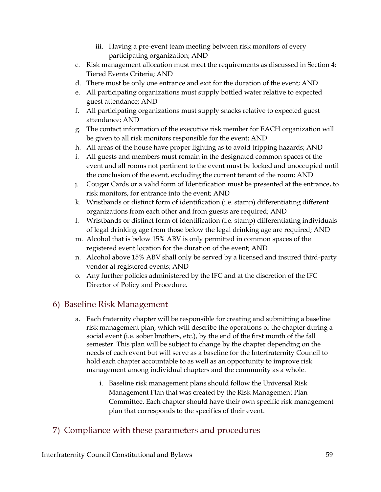- iii. Having a pre-event team meeting between risk monitors of every participating organization; AND
- c. Risk management allocation must meet the requirements as discussed in Section 4: Tiered Events Criteria; AND
- d. There must be only one entrance and exit for the duration of the event; AND
- e. All participating organizations must supply bottled water relative to expected guest attendance; AND
- f. All participating organizations must supply snacks relative to expected guest attendance; AND
- g. The contact information of the executive risk member for EACH organization will be given to all risk monitors responsible for the event; AND
- h. All areas of the house have proper lighting as to avoid tripping hazards; AND
- i. All guests and members must remain in the designated common spaces of the event and all rooms not pertinent to the event must be locked and unoccupied until the conclusion of the event, excluding the current tenant of the room; AND
- j. Cougar Cards or a valid form of Identification must be presented at the entrance, to risk monitors, for entrance into the event; AND
- k. Wristbands or distinct form of identification (i.e. stamp) differentiating different organizations from each other and from guests are required; AND
- l. Wristbands or distinct form of identification (i.e. stamp) differentiating individuals of legal drinking age from those below the legal drinking age are required; AND
- m. Alcohol that is below 15% ABV is only permitted in common spaces of the registered event location for the duration of the event; AND
- n. Alcohol above 15% ABV shall only be served by a licensed and insured third-party vendor at registered events; AND
- o. Any further policies administered by the IFC and at the discretion of the IFC Director of Policy and Procedure.

### 6) Baseline Risk Management

- a. Each fraternity chapter will be responsible for creating and submitting a baseline risk management plan, which will describe the operations of the chapter during a social event (i.e. sober brothers, etc.), by the end of the first month of the fall semester. This plan will be subject to change by the chapter depending on the needs of each event but will serve as a baseline for the Interfraternity Council to hold each chapter accountable to as well as an opportunity to improve risk management among individual chapters and the community as a whole.
	- i. Baseline risk management plans should follow the Universal Risk Management Plan that was created by the Risk Management Plan Committee. Each chapter should have their own specific risk management plan that corresponds to the specifics of their event.

### 7) Compliance with these parameters and procedures